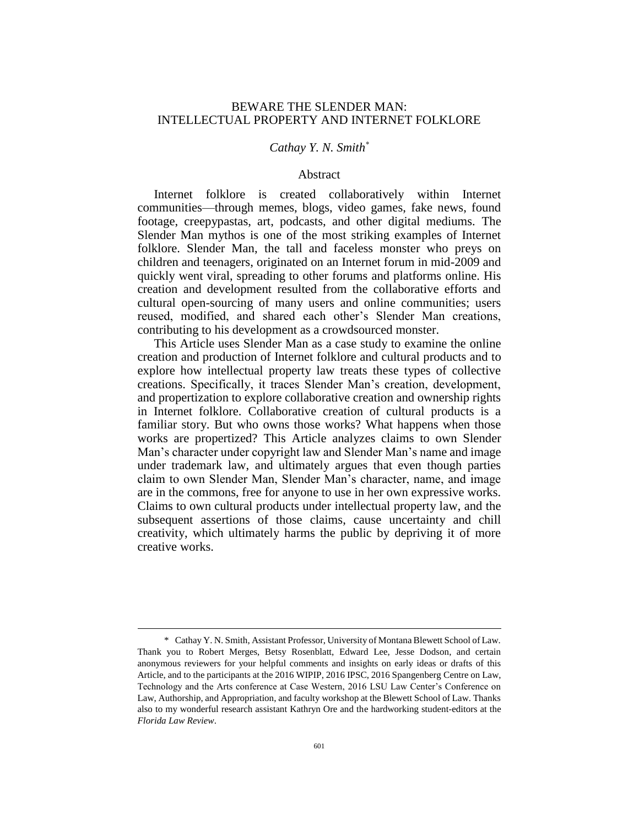# BEWARE THE SLENDER MAN: INTELLECTUAL PROPERTY AND INTERNET FOLKLORE

## *Cathay Y. N. Smith\**

#### Abstract

Internet folklore is created collaboratively within Internet communities—through memes, blogs, video games, fake news, found footage, creepypastas, art, podcasts, and other digital mediums. The Slender Man mythos is one of the most striking examples of Internet folklore. Slender Man, the tall and faceless monster who preys on children and teenagers, originated on an Internet forum in mid-2009 and quickly went viral, spreading to other forums and platforms online. His creation and development resulted from the collaborative efforts and cultural open-sourcing of many users and online communities; users reused, modified, and shared each other's Slender Man creations, contributing to his development as a crowdsourced monster.

This Article uses Slender Man as a case study to examine the online creation and production of Internet folklore and cultural products and to explore how intellectual property law treats these types of collective creations. Specifically, it traces Slender Man's creation, development, and propertization to explore collaborative creation and ownership rights in Internet folklore. Collaborative creation of cultural products is a familiar story. But who owns those works? What happens when those works are propertized? This Article analyzes claims to own Slender Man's character under copyright law and Slender Man's name and image under trademark law, and ultimately argues that even though parties claim to own Slender Man, Slender Man's character, name, and image are in the commons, free for anyone to use in her own expressive works. Claims to own cultural products under intellectual property law, and the subsequent assertions of those claims, cause uncertainty and chill creativity, which ultimately harms the public by depriving it of more creative works.

<sup>\*</sup> Cathay Y. N. Smith, Assistant Professor, University of Montana Blewett School of Law. Thank you to Robert Merges, Betsy Rosenblatt, Edward Lee, Jesse Dodson, and certain anonymous reviewers for your helpful comments and insights on early ideas or drafts of this Article, and to the participants at the 2016 WIPIP, 2016 IPSC, 2016 Spangenberg Centre on Law, Technology and the Arts conference at Case Western, 2016 LSU Law Center's Conference on Law, Authorship, and Appropriation, and faculty workshop at the Blewett School of Law. Thanks also to my wonderful research assistant Kathryn Ore and the hardworking student-editors at the *Florida Law Review*.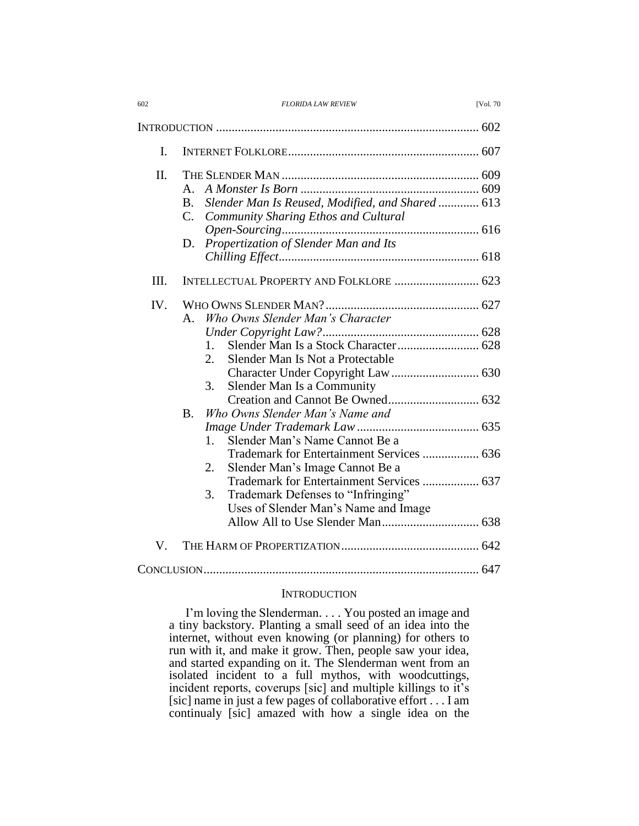| 602 | <b>FLORIDA LAW REVIEW</b> | <b>IVol. 70</b> |
|-----|---------------------------|-----------------|

| $\mathbf{I}$ . |                                                                                                                                                                                                                                                             |
|----------------|-------------------------------------------------------------------------------------------------------------------------------------------------------------------------------------------------------------------------------------------------------------|
| II.            | $A_{\cdot}$<br>Slender Man Is Reused, Modified, and Shared  613<br>В.<br>Community Sharing Ethos and Cultural<br>C.<br>Propertization of Slender Man and Its<br>D.                                                                                          |
| III.           | INTELLECTUAL PROPERTY AND FOLKLORE  623                                                                                                                                                                                                                     |
| IV.            | Who Owns Slender Man's Character<br>$A_{\cdot}$<br>1.<br>2.<br>Slender Man Is Not a Protectable<br>3.<br>Slender Man Is a Community<br>Who Owns Slender Man's Name and<br><b>B.</b>                                                                         |
|                | Slender Man's Name Cannot Be a<br>1.<br>Trademark for Entertainment Services  636<br>Slender Man's Image Cannot Be a<br>2.<br>Trademark for Entertainment Services  637<br>Trademark Defenses to "Infringing"<br>3.<br>Uses of Slender Man's Name and Image |
| V.             |                                                                                                                                                                                                                                                             |
|                |                                                                                                                                                                                                                                                             |

#### **INTRODUCTION**

I'm loving the Slenderman. . . . You posted an image and a tiny backstory. Planting a small seed of an idea into the internet, without even knowing (or planning) for others to run with it, and make it grow. Then, people saw your idea, and started expanding on it. The Slenderman went from an isolated incident to a full mythos, with woodcuttings, incident reports, coverups [sic] and multiple killings to it's [sic] name in just a few pages of collaborative effort . . . I am continualy [sic] amazed with how a single idea on the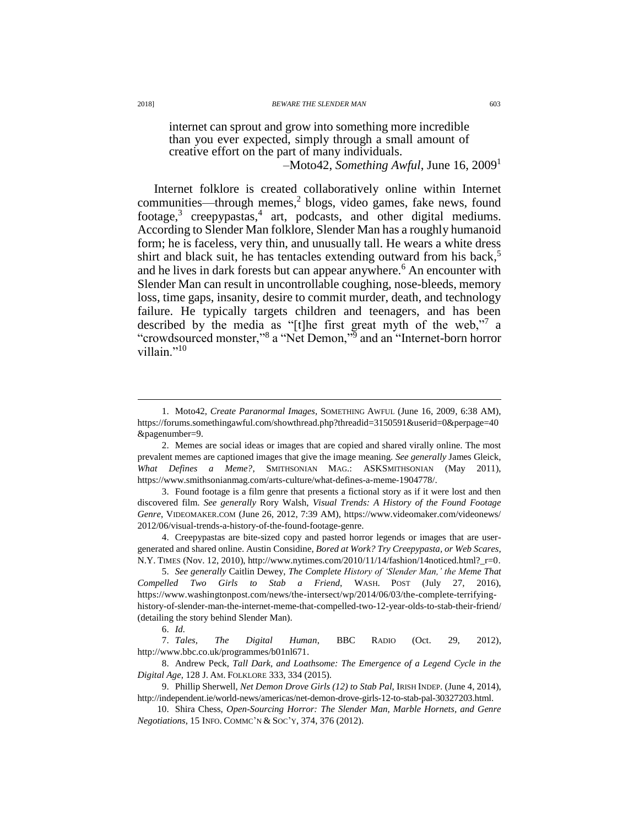<span id="page-2-2"></span>

internet can sprout and grow into something more incredible than you ever expected, simply through a small amount of creative effort on the part of many individuals. –Moto42, *Something Awful*, June 16, 2009<sup>1</sup>

Internet folklore is created collaboratively online within Internet communities—through memes,<sup>2</sup> blogs, video games, fake news, found footage,<sup>3</sup> creepypastas,<sup>4</sup> art, podcasts, and other digital mediums. According to Slender Man folklore, Slender Man has a roughly humanoid form; he is faceless, very thin, and unusually tall. He wears a white dress shirt and black suit, he has tentacles extending outward from his back, 5 and he lives in dark forests but can appear anywhere.<sup>6</sup> An encounter with Slender Man can result in uncontrollable coughing, nose-bleeds, memory loss, time gaps, insanity, desire to commit murder, death, and technology failure. He typically targets children and teenagers, and has been described by the media as "[t]he first great myth of the web,"<sup>7</sup> a "crowdsourced monster,"<sup>8</sup> a "Net Demon,"<sup>9</sup> and an "Internet-born horror" villain<sup>"10</sup>

<span id="page-2-1"></span><span id="page-2-0"></span><sup>1.</sup> Moto42, *Create Paranormal Images*, SOMETHING AWFUL (June 16, 2009, 6:38 AM), https://forums.somethingawful.com/showthread.php?threadid=3150591&userid=0&perpage=40 &pagenumber=9.

<sup>2.</sup> Memes are social ideas or images that are copied and shared virally online. The most prevalent memes are captioned images that give the image meaning. *See generally* James Gleick, *What Defines a Meme?*, SMITHSONIAN MAG.: ASKSMITHSONIAN (May 2011), https://www.smithsonianmag.com/arts-culture/what-defines-a-meme-1904778/.

<sup>3.</sup> Found footage is a film genre that presents a fictional story as if it were lost and then discovered film. *See generally* Rory Walsh, *Visual Trends: A History of the Found Footage Genre*, VIDEOMAKER.COM (June 26, 2012, 7:39 AM), https://www.videomaker.com/videonews/ 2012/06/visual-trends-a-history-of-the-found-footage-genre.

<sup>4.</sup> Creepypastas are bite-sized copy and pasted horror legends or images that are usergenerated and shared online. Austin Considine, *Bored at Work? Try Creepypasta, or Web Scares*, N.Y. TIMES (Nov. 12, 2010), http://www.nytimes.com/2010/11/14/fashion/14noticed.html?\_r=0.

<sup>5.</sup> *See generally* Caitlin Dewey, *The Complete History of 'Slender Man,' the Meme That Compelled Two Girls to Stab a Friend*, WASH. POST (July 27, 2016), https://www.washingtonpost.com/news/the-intersect/wp/2014/06/03/the-complete-terrifyinghistory-of-slender-man-the-internet-meme-that-compelled-two-12-year-olds-to-stab-their-friend/ (detailing the story behind Slender Man).

<sup>6.</sup> *Id.*

<sup>7.</sup> *Tales, The Digital Human*, BBC RADIO (Oct. 29, 2012), http://www.bbc.co.uk/programmes/b01nl671.

<sup>8.</sup> Andrew Peck, *Tall Dark, and Loathsome: The Emergence of a Legend Cycle in the Digital Age*, 128 J. AM. FOLKLORE 333, 334 (2015).

<sup>9.</sup> Phillip Sherwell, *Net Demon Drove Girls (12) to Stab Pal*, IRISH INDEP. (June 4, 2014), http://independent.ie/world-news/americas/net-demon-drove-girls-12-to-stab-pal-30327203.html.

<sup>10.</sup> Shira Chess, *Open-Sourcing Horror: The Slender Man, Marble Hornets, and Genre Negotiations*, 15 INFO. COMMC'N & SOC'Y, 374, 376 (2012).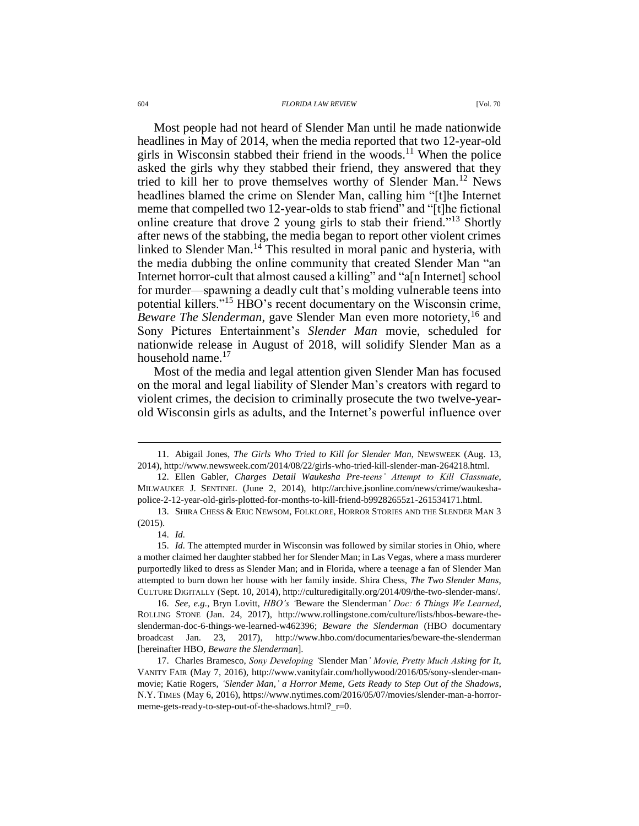<span id="page-3-0"></span>Most people had not heard of Slender Man until he made nationwide headlines in May of 2014, when the media reported that two 12-year-old girls in Wisconsin stabbed their friend in the woods. <sup>11</sup> When the police asked the girls why they stabbed their friend, they answered that they tried to kill her to prove themselves worthy of Slender Man.<sup>12</sup> News headlines blamed the crime on Slender Man, calling him "[t]he Internet meme that compelled two 12-year-olds to stab friend" and "[t]he fictional online creature that drove 2 young girls to stab their friend."<sup>13</sup> Shortly after news of the stabbing, the media began to report other violent crimes linked to Slender Man.<sup>14</sup> This resulted in moral panic and hysteria, with the media dubbing the online community that created Slender Man "an Internet horror-cult that almost caused a killing" and "a[n Internet] school for murder—spawning a deadly cult that's molding vulnerable teens into potential killers."<sup>15</sup> HBO's recent documentary on the Wisconsin crime, *Beware The Slenderman*, gave Slender Man even more notoriety, <sup>16</sup> and Sony Pictures Entertainment's *Slender Man* movie, scheduled for nationwide release in August of 2018, will solidify Slender Man as a household name. $17$ 

<span id="page-3-2"></span><span id="page-3-1"></span>Most of the media and legal attention given Slender Man has focused on the moral and legal liability of Slender Man's creators with regard to violent crimes, the decision to criminally prosecute the two twelve-yearold Wisconsin girls as adults, and the Internet's powerful influence over

14. *Id.*

<sup>11.</sup> Abigail Jones, *The Girls Who Tried to Kill for Slender Man*, NEWSWEEK (Aug. 13, 2014), http://www.newsweek.com/2014/08/22/girls-who-tried-kill-slender-man-264218.html.

<sup>12.</sup> Ellen Gabler, *Charges Detail Waukesha Pre-teens' Attempt to Kill Classmate*, MILWAUKEE J. SENTINEL (June 2, 2014), http://archive.jsonline.com/news/crime/waukeshapolice-2-12-year-old-girls-plotted-for-months-to-kill-friend-b99282655z1-261534171.html.

<sup>13.</sup> SHIRA CHESS & ERIC NEWSOM, FOLKLORE, HORROR STORIES AND THE SLENDER MAN 3 (2015).

<sup>15.</sup> *Id.* The attempted murder in Wisconsin was followed by similar stories in Ohio, where a mother claimed her daughter stabbed her for Slender Man; in Las Vegas, where a mass murderer purportedly liked to dress as Slender Man; and in Florida, where a teenage a fan of Slender Man attempted to burn down her house with her family inside. Shira Chess, *The Two Slender Mans*, CULTURE DIGITALLY (Sept. 10, 2014), http://culturedigitally.org/2014/09/the-two-slender-mans/.

<sup>16.</sup> *See, e.g.*, Bryn Lovitt, *HBO's '*Beware the Slenderman*' Doc: 6 Things We Learned*, ROLLING STONE (Jan. 24, 2017), http://www.rollingstone.com/culture/lists/hbos-beware-theslenderman-doc-6-things-we-learned-w462396; *Beware the Slenderman* (HBO documentary broadcast Jan. 23, 2017), http://www.hbo.com/documentaries/beware-the-slenderman [hereinafter HBO, *Beware the Slenderman*].

<sup>17.</sup> Charles Bramesco, *Sony Developing '*Slender Man*' Movie, Pretty Much Asking for It*, VANITY FAIR (May 7, 2016), http://www.vanityfair.com/hollywood/2016/05/sony-slender-manmovie; Katie Rogers, *'Slender Man,' a Horror Meme, Gets Ready to Step Out of the Shadows*, N.Y. TIMES (May 6, 2016), https://www.nytimes.com/2016/05/07/movies/slender-man-a-horrormeme-gets-ready-to-step-out-of-the-shadows.html?\_r=0.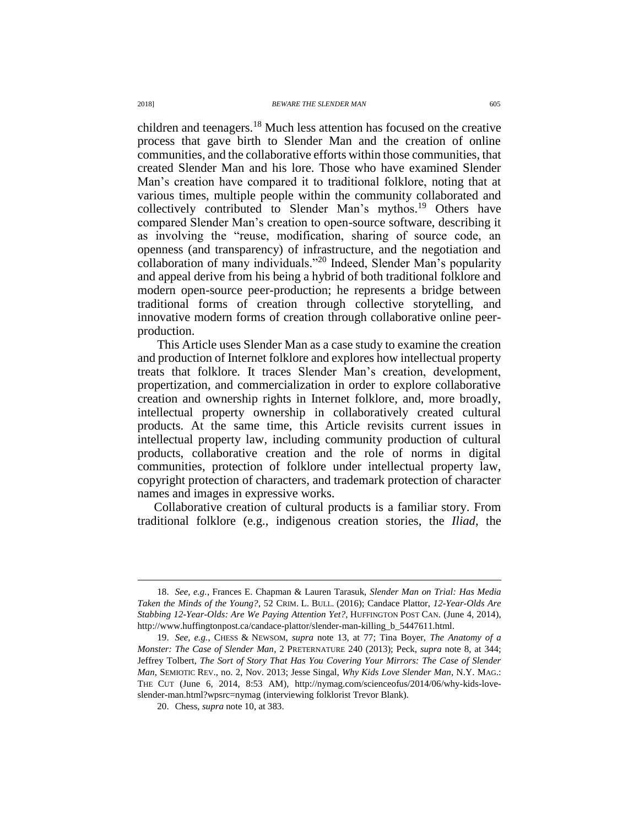children and teenagers.<sup>18</sup> Much less attention has focused on the creative process that gave birth to Slender Man and the creation of online communities, and the collaborative efforts within those communities, that created Slender Man and his lore. Those who have examined Slender Man's creation have compared it to traditional folklore, noting that at various times, multiple people within the community collaborated and collectively contributed to Slender Man's mythos. <sup>19</sup> Others have compared Slender Man's creation to open-source software, describing it as involving the "reuse, modification, sharing of source code, an openness (and transparency) of infrastructure, and the negotiation and collaboration of many individuals."<sup>20</sup> Indeed, Slender Man's popularity and appeal derive from his being a hybrid of both traditional folklore and modern open-source peer-production; he represents a bridge between traditional forms of creation through collective storytelling, and innovative modern forms of creation through collaborative online peerproduction.

This Article uses Slender Man as a case study to examine the creation and production of Internet folklore and explores how intellectual property treats that folklore. It traces Slender Man's creation, development, propertization, and commercialization in order to explore collaborative creation and ownership rights in Internet folklore, and, more broadly, intellectual property ownership in collaboratively created cultural products. At the same time, this Article revisits current issues in intellectual property law, including community production of cultural products, collaborative creation and the role of norms in digital communities, protection of folklore under intellectual property law, copyright protection of characters, and trademark protection of character names and images in expressive works.

Collaborative creation of cultural products is a familiar story. From traditional folklore (e.g., indigenous creation stories, the *Iliad*, the

<sup>18.</sup> *See, e.g.*, Frances E. Chapman & Lauren Tarasuk, *Slender Man on Trial: Has Media Taken the Minds of the Young?*, 52 CRIM. L. BULL. (2016); Candace Plattor, *12-Year-Olds Are Stabbing 12-Year-Olds: Are We Paying Attention Yet?*, HUFFINGTON POST CAN. (June 4, 2014), http://www.huffingtonpost.ca/candace-plattor/slender-man-killing\_b\_5447611.html.

<sup>19.</sup> *See, e.g.*, CHESS & NEWSOM, *supra* note [13,](#page-3-0) at 77; Tina Boyer, *The Anatomy of a Monster: The Case of Slender Man*, 2 PRETERNATURE 240 (2013); Peck, *supra* note [8,](#page-2-0) at 344; Jeffrey Tolbert, *The Sort of Story That Has You Covering Your Mirrors: The Case of Slender Man*, SEMIOTIC REV., no. 2, Nov. 2013; Jesse Singal, *Why Kids Love Slender Man*, N.Y. MAG.: THE CUT (June 6, 2014, 8:53 AM), http://nymag.com/scienceofus/2014/06/why-kids-loveslender-man.html?wpsrc=nymag (interviewing folklorist Trevor Blank).

<sup>20.</sup> Chess, *supra* not[e 10,](#page-2-1) at 383.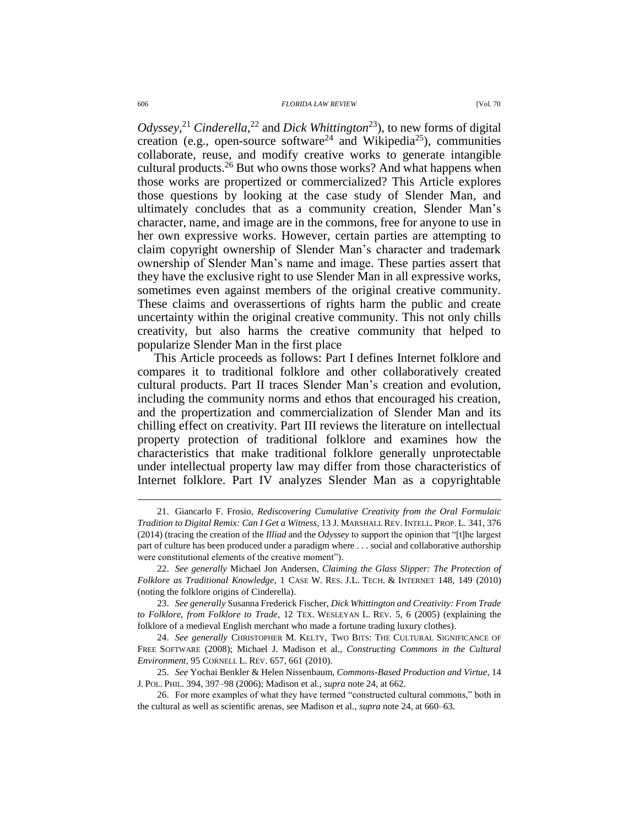<span id="page-5-3"></span><span id="page-5-2"></span><span id="page-5-1"></span><span id="page-5-0"></span>*Odyssey*, <sup>21</sup> *Cinderella*, <sup>22</sup> and *Dick Whittington*<sup>23</sup>), to new forms of digital creation (e.g., open-source software<sup>24</sup> and Wikipedia<sup>25</sup>), communities collaborate, reuse, and modify creative works to generate intangible cultural products.<sup>26</sup> But who owns those works? And what happens when those works are propertized or commercialized? This Article explores those questions by looking at the case study of Slender Man, and ultimately concludes that as a community creation, Slender Man's character, name, and image are in the commons, free for anyone to use in her own expressive works. However, certain parties are attempting to claim copyright ownership of Slender Man's character and trademark ownership of Slender Man's name and image. These parties assert that they have the exclusive right to use Slender Man in all expressive works, sometimes even against members of the original creative community. These claims and overassertions of rights harm the public and create uncertainty within the original creative community. This not only chills creativity, but also harms the creative community that helped to popularize Slender Man in the first place

This Article proceeds as follows: Part I defines Internet folklore and compares it to traditional folklore and other collaboratively created cultural products. Part II traces Slender Man's creation and evolution, including the community norms and ethos that encouraged his creation, and the propertization and commercialization of Slender Man and its chilling effect on creativity. Part III reviews the literature on intellectual property protection of traditional folklore and examines how the characteristics that make traditional folklore generally unprotectable under intellectual property law may differ from those characteristics of Internet folklore. Part IV analyzes Slender Man as a copyrightable

<sup>21.</sup> Giancarlo F. Frosio, *Rediscovering Cumulative Creativity from the Oral Formulaic Tradition to Digital Remix: Can I Get a Witness*, 13 J. MARSHALL REV. INTELL. PROP. L. 341, 376 (2014) (tracing the creation of the *Illiad* and the *Odyssey* to support the opinion that "[t]he largest part of culture has been produced under a paradigm where . . . social and collaborative authorship were constitutional elements of the creative moment").

<sup>22.</sup> *See generally* Michael Jon Andersen, *Claiming the Glass Slipper: The Protection of Folklore as Traditional Knowledge*, 1 CASE W. RES. J.L. TECH. & INTERNET 148, 149 (2010) (noting the folklore origins of Cinderella).

<sup>23.</sup> *See generally* Susanna Frederick Fischer, *Dick Whittington and Creativity: From Trade to Folklore, from Folklore to Trade*, 12 TEX. WESLEYAN L. REV. 5, 6 (2005) (explaining the folklore of a medieval English merchant who made a fortune trading luxury clothes).

<sup>24.</sup> *See generally* CHRISTOPHER M. KELTY, TWO BITS: THE CULTURAL SIGNIFICANCE OF FREE SOFTWARE (2008); Michael J. Madison et al., *Constructing Commons in the Cultural Environment*, 95 CORNELL L. REV. 657, 661 (2010).

<sup>25.</sup> *See* Yochai Benkler & Helen Nissenbaum, *Commons-Based Production and Virtue*, 14 J. POL. PHIL. 394, 397–98 (2006); Madison et al., *supra* note [24,](#page-5-0) at 662.

<sup>26.</sup> For more examples of what they have termed "constructed cultural commons," both in the cultural as well as scientific arenas, see Madison et al., *supra* note [24,](#page-5-0) at 660–63.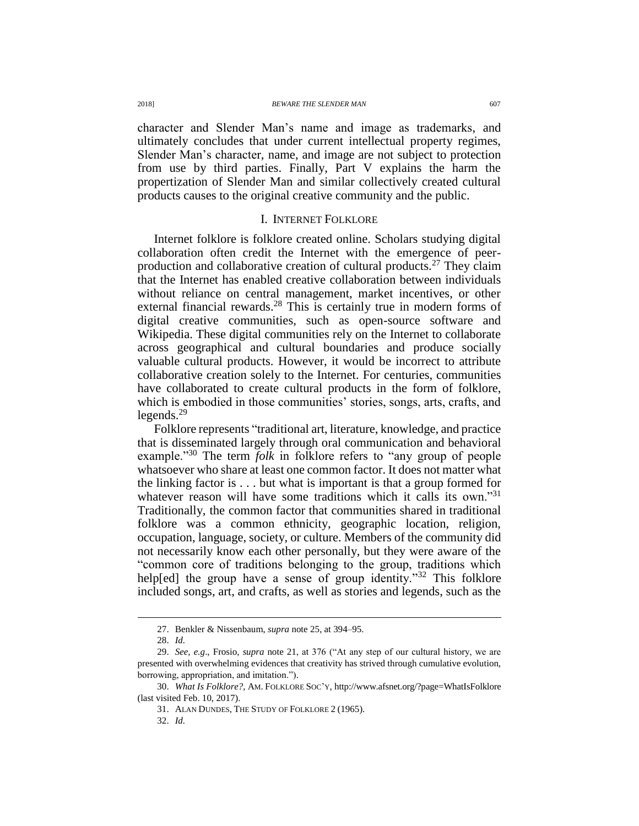character and Slender Man's name and image as trademarks, and ultimately concludes that under current intellectual property regimes, Slender Man's character, name, and image are not subject to protection from use by third parties. Finally, Part V explains the harm the propertization of Slender Man and similar collectively created cultural products causes to the original creative community and the public.

## I. INTERNET FOLKLORE

Internet folklore is folklore created online. Scholars studying digital collaboration often credit the Internet with the emergence of peerproduction and collaborative creation of cultural products.<sup>27</sup> They claim that the Internet has enabled creative collaboration between individuals without reliance on central management, market incentives, or other external financial rewards.<sup>28</sup> This is certainly true in modern forms of digital creative communities, such as open-source software and Wikipedia. These digital communities rely on the Internet to collaborate across geographical and cultural boundaries and produce socially valuable cultural products. However, it would be incorrect to attribute collaborative creation solely to the Internet. For centuries, communities have collaborated to create cultural products in the form of folklore, which is embodied in those communities' stories, songs, arts, crafts, and legends.<sup>29</sup>

<span id="page-6-0"></span>Folklore represents "traditional art, literature, knowledge, and practice that is disseminated largely through oral communication and behavioral example."<sup>30</sup> The term *folk* in folklore refers to "any group of people whatsoever who share at least one common factor. It does not matter what the linking factor is . . . but what is important is that a group formed for whatever reason will have some traditions which it calls its own."<sup>31</sup> Traditionally, the common factor that communities shared in traditional folklore was a common ethnicity, geographic location, religion, occupation, language, society, or culture. Members of the community did not necessarily know each other personally, but they were aware of the "common core of traditions belonging to the group, traditions which help[ed] the group have a sense of group identity."<sup>32</sup> This folklore included songs, art, and crafts, as well as stories and legends, such as the

 $\overline{a}$ 

32. *Id.*

<sup>27.</sup> Benkler & Nissenbaum, *supra* not[e 25,](#page-5-1) at 394–95.

<sup>28.</sup> *Id.*

<sup>29.</sup> *See, e.g*., Frosio, *supra* note [21,](#page-5-2) at 376 ("At any step of our cultural history, we are presented with overwhelming evidences that creativity has strived through cumulative evolution, borrowing, appropriation, and imitation.").

<sup>30.</sup> *What Is Folklore?*, AM. FOLKLORE SOC'Y, http://www.afsnet.org/?page=WhatIsFolklore (last visited Feb. 10, 2017).

<sup>31.</sup> ALAN DUNDES, THE STUDY OF FOLKLORE 2 (1965).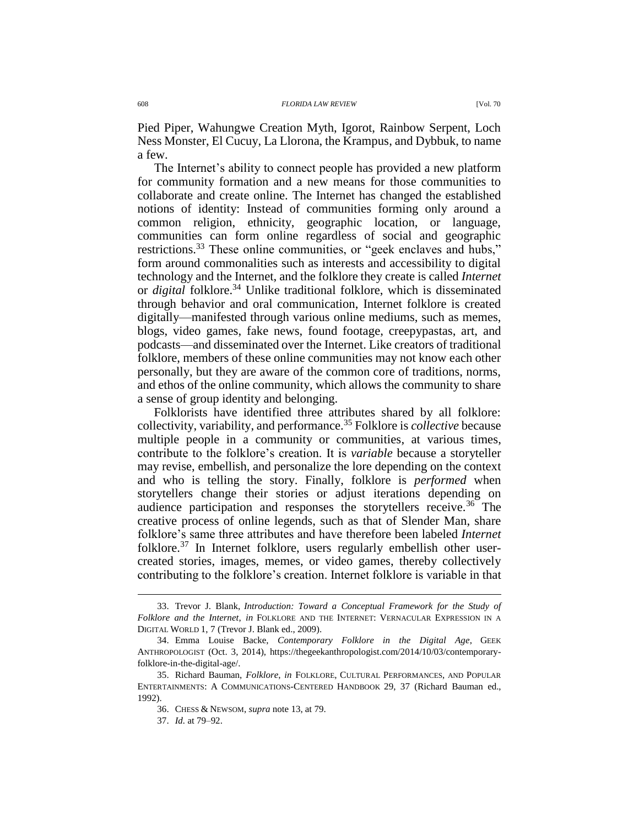Pied Piper, Wahungwe Creation Myth, Igorot, Rainbow Serpent, Loch Ness Monster, El Cucuy, La Llorona, the Krampus, and Dybbuk, to name a few.

<span id="page-7-0"></span>The Internet's ability to connect people has provided a new platform for community formation and a new means for those communities to collaborate and create online. The Internet has changed the established notions of identity: Instead of communities forming only around a common religion, ethnicity, geographic location, or language, communities can form online regardless of social and geographic restrictions.<sup>33</sup> These online communities, or "geek enclaves and hubs," form around commonalities such as interests and accessibility to digital technology and the Internet, and the folklore they create is called *Internet* or *digital* folklore.<sup>34</sup> Unlike traditional folklore, which is disseminated through behavior and oral communication, Internet folklore is created digitally—manifested through various online mediums, such as memes, blogs, video games, fake news, found footage, creepypastas, art, and podcasts—and disseminated over the Internet. Like creators of traditional folklore, members of these online communities may not know each other personally, but they are aware of the common core of traditions, norms, and ethos of the online community, which allows the community to share a sense of group identity and belonging.

Folklorists have identified three attributes shared by all folklore: collectivity, variability, and performance.<sup>35</sup> Folklore is *collective* because multiple people in a community or communities, at various times, contribute to the folklore's creation. It is *variable* because a storyteller may revise, embellish, and personalize the lore depending on the context and who is telling the story. Finally, folklore is *performed* when storytellers change their stories or adjust iterations depending on audience participation and responses the storytellers receive.<sup>36</sup> The creative process of online legends, such as that of Slender Man, share folklore's same three attributes and have therefore been labeled *Internet* folklore.<sup>37</sup> In Internet folklore, users regularly embellish other usercreated stories, images, memes, or video games, thereby collectively contributing to the folklore's creation. Internet folklore is variable in that

<sup>33.</sup> Trevor J. Blank, *Introduction: Toward a Conceptual Framework for the Study of Folklore and the Internet*, *in* FOLKLORE AND THE INTERNET: VERNACULAR EXPRESSION IN A DIGITAL WORLD 1, 7 (Trevor J. Blank ed., 2009).

<sup>34.</sup> Emma Louise Backe, *Contemporary Folklore in the Digital Age*, GEEK ANTHROPOLOGIST (Oct. 3, 2014), https://thegeekanthropologist.com/2014/10/03/contemporaryfolklore-in-the-digital-age/.

<sup>35.</sup> Richard Bauman, *Folklore*, *in* FOLKLORE, CULTURAL PERFORMANCES, AND POPULAR ENTERTAINMENTS: A COMMUNICATIONS-CENTERED HANDBOOK 29, 37 (Richard Bauman ed., 1992).

<sup>36.</sup> CHESS & NEWSOM, *supra* note [13,](#page-3-0) at 79.

<sup>37.</sup> *Id.* at 79–92.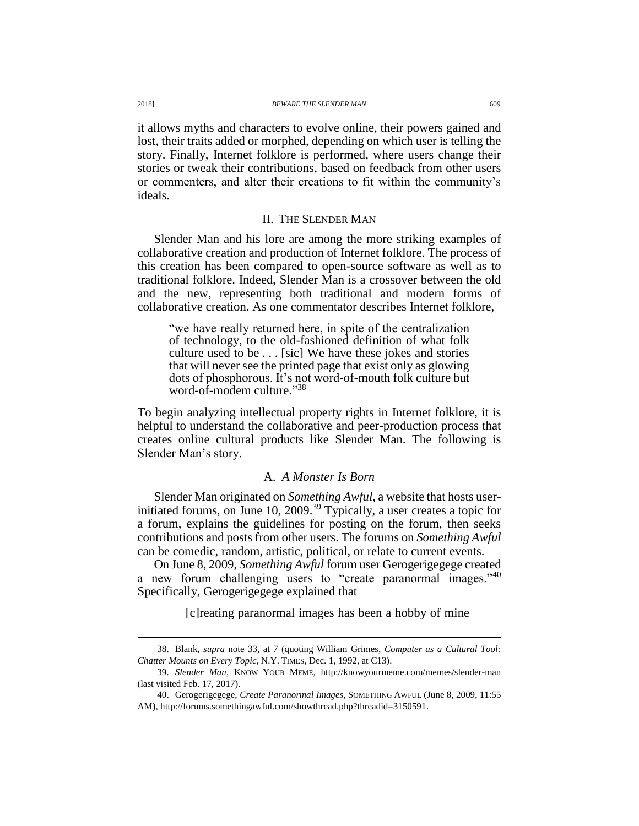it allows myths and characters to evolve online, their powers gained and lost, their traits added or morphed, depending on which user is telling the story. Finally, Internet folklore is performed, where users change their stories or tweak their contributions, based on feedback from other users or commenters, and alter their creations to fit within the community's ideals.

#### II. THE SLENDER MAN

Slender Man and his lore are among the more striking examples of collaborative creation and production of Internet folklore. The process of this creation has been compared to open-source software as well as to traditional folklore. Indeed, Slender Man is a crossover between the old and the new, representing both traditional and modern forms of collaborative creation. As one commentator describes Internet folklore,

"we have really returned here, in spite of the centralization of technology, to the old-fashioned definition of what folk culture used to be . . . [sic] We have these jokes and stories that will never see the printed page that exist only as glowing dots of phosphorous. It's not word-of-mouth folk culture but word-of-modem culture." 38

To begin analyzing intellectual property rights in Internet folklore, it is helpful to understand the collaborative and peer-production process that creates online cultural products like Slender Man. The following is Slender Man's story.

## <span id="page-8-0"></span>A. *A Monster Is Born*

Slender Man originated on *Something Awful*, a website that hosts userinitiated forums, on June 10, 2009.<sup>39</sup> Typically, a user creates a topic for a forum, explains the guidelines for posting on the forum, then seeks contributions and posts from other users. The forums on *Something Awful* can be comedic, random, artistic, political, or relate to current events.

On June 8, 2009, *Something Awful* forum user Gerogerigegege created a new forum challenging users to "create paranormal images."<sup>40</sup> Specifically, Gerogerigegege explained that

[c]reating paranormal images has been a hobby of mine

<sup>38.</sup> Blank, *supra* note [33,](#page-7-0) at 7 (quoting William Grimes, *Computer as a Cultural Tool: Chatter Mounts on Every Topic*, N.Y. TIMES, Dec. 1, 1992, at C13).

<sup>39.</sup> *Slender Man*, KNOW YOUR MEME, http://knowyourmeme.com/memes/slender-man (last visited Feb. 17, 2017).

<sup>40.</sup> Gerogerigegege, *Create Paranormal Images*, SOMETHING AWFUL (June 8, 2009, 11:55 AM), http://forums.somethingawful.com/showthread.php?threadid=3150591.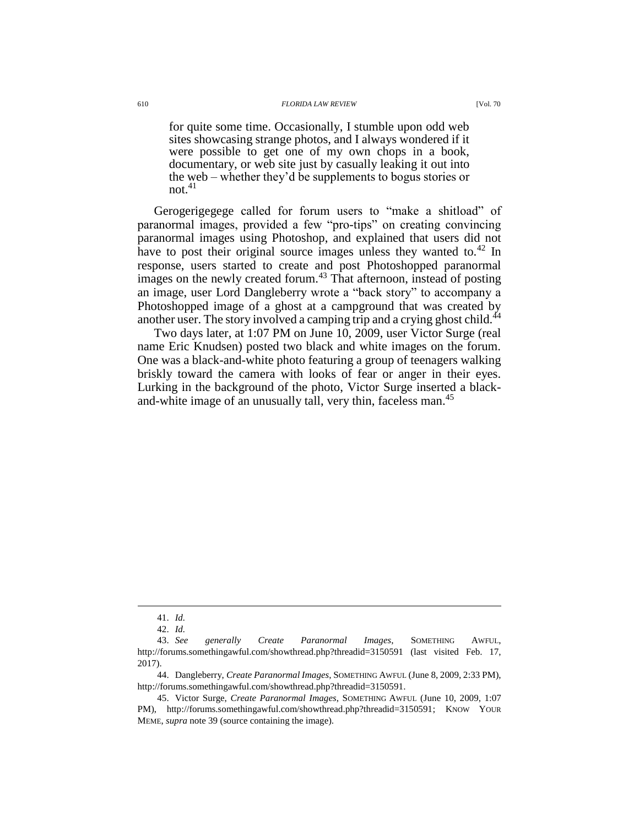for quite some time. Occasionally, I stumble upon odd web sites showcasing strange photos, and I always wondered if it were possible to get one of my own chops in a book, documentary, or web site just by casually leaking it out into the web – whether they'd be supplements to bogus stories or  $not.<sup>41</sup>$ 

Gerogerigegege called for forum users to "make a shitload" of paranormal images, provided a few "pro-tips" on creating convincing paranormal images using Photoshop, and explained that users did not have to post their original source images unless they wanted to.<sup>42</sup> In response, users started to create and post Photoshopped paranormal images on the newly created forum.<sup>43</sup> That afternoon, instead of posting an image, user Lord Dangleberry wrote a "back story" to accompany a Photoshopped image of a ghost at a campground that was created by another user. The story involved a camping trip and a crying ghost child.<sup>44</sup>

<span id="page-9-0"></span>Two days later, at 1:07 PM on June 10, 2009, user Victor Surge (real name Eric Knudsen) posted two black and white images on the forum. One was a black-and-white photo featuring a group of teenagers walking briskly toward the camera with looks of fear or anger in their eyes. Lurking in the background of the photo, Victor Surge inserted a blackand-white image of an unusually tall, very thin, faceless man.<sup>45</sup>

<sup>41.</sup> *Id.*

<sup>42.</sup> *Id.*

<sup>43.</sup> *See generally Create Paranormal Images*, SOMETHING AWFUL, http://forums.somethingawful.com/showthread.php?threadid=3150591 (last visited Feb. 17, 2017).

<sup>44.</sup> Dangleberry, *Create Paranormal Images*, SOMETHING AWFUL (June 8, 2009, 2:33 PM), http://forums.somethingawful.com/showthread.php?threadid=3150591.

<sup>45.</sup> Victor Surge, *Create Paranormal Images*, SOMETHING AWFUL (June 10, 2009, 1:07 PM), http://forums.somethingawful.com/showthread.php?threadid=3150591; KNOW YOUR MEME, *supra* not[e 39](#page-8-0) (source containing the image).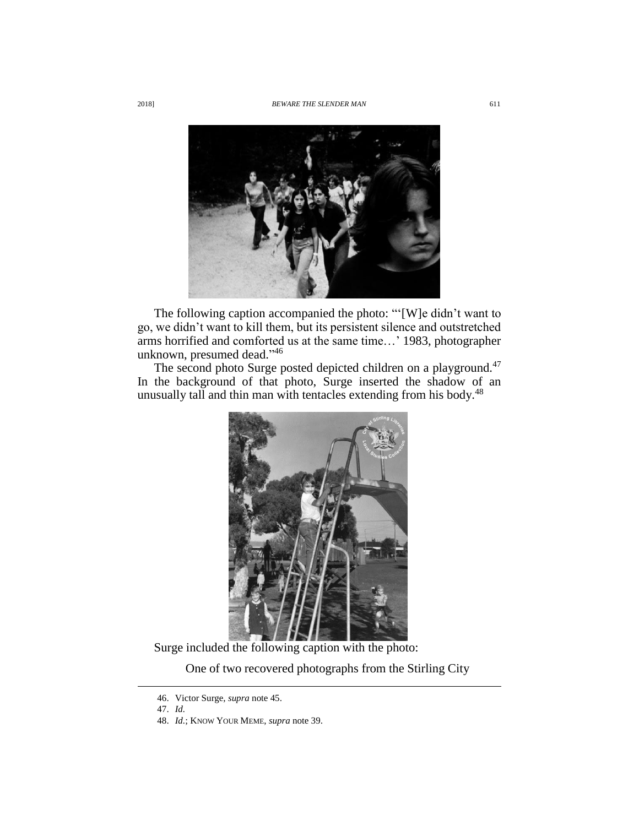

The following caption accompanied the photo: "'[W]e didn't want to go, we didn't want to kill them, but its persistent silence and outstretched arms horrified and comforted us at the same time…' 1983, photographer unknown, presumed dead." 46

The second photo Surge posted depicted children on a playground.<sup>47</sup> In the background of that photo, Surge inserted the shadow of an unusually tall and thin man with tentacles extending from his body.<sup>48</sup>



Surge included the following caption with the photo:

One of two recovered photographs from the Stirling City

<sup>46.</sup> Victor Surge, *supra* note [45.](#page-9-0)

<sup>47.</sup> *Id.*

<sup>48.</sup> *Id.*; KNOW YOUR MEME, *supra* note [39.](#page-8-0)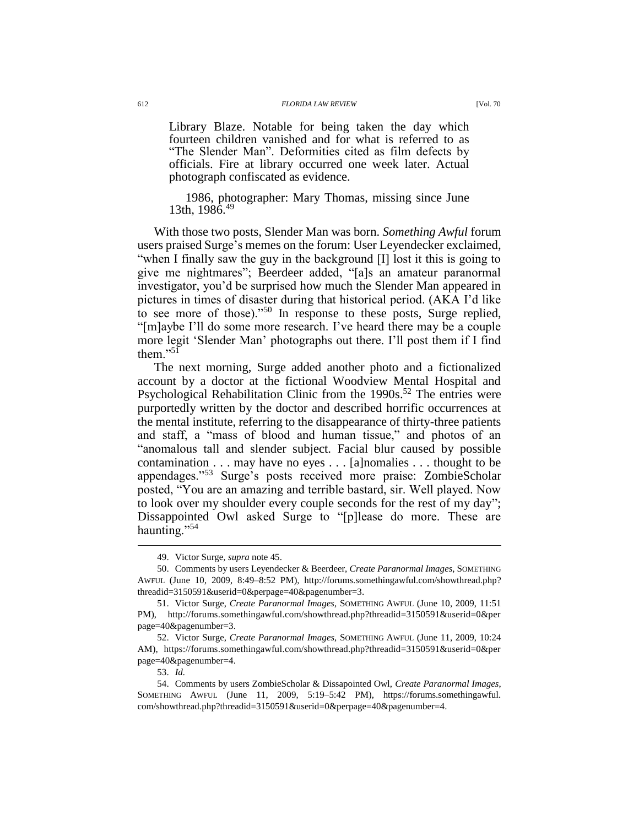Library Blaze. Notable for being taken the day which fourteen children vanished and for what is referred to as "The Slender Man". Deformities cited as film defects by officials. Fire at library occurred one week later. Actual photograph confiscated as evidence.

1986, photographer: Mary Thomas, missing since June 13th,  $1986.<sup>49</sup>$ 

With those two posts, Slender Man was born. *Something Awful* forum users praised Surge's memes on the forum: User Leyendecker exclaimed, "when I finally saw the guy in the background [I] lost it this is going to give me nightmares"; Beerdeer added, "[a]s an amateur paranormal investigator, you'd be surprised how much the Slender Man appeared in pictures in times of disaster during that historical period. (AKA I'd like to see more of those)."<sup>50</sup> In response to these posts, Surge replied, "[m]aybe I'll do some more research. I've heard there may be a couple more legit 'Slender Man' photographs out there. I'll post them if I find them<sup>"51</sup>

The next morning, Surge added another photo and a fictionalized account by a doctor at the fictional Woodview Mental Hospital and Psychological Rehabilitation Clinic from the  $1990s$ .<sup>52</sup> The entries were purportedly written by the doctor and described horrific occurrences at the mental institute, referring to the disappearance of thirty-three patients and staff, a "mass of blood and human tissue," and photos of an "anomalous tall and slender subject. Facial blur caused by possible contamination . . . may have no eyes . . . [a]nomalies . . . thought to be appendages."<sup>53</sup> Surge's posts received more praise: ZombieScholar posted, "You are an amazing and terrible bastard, sir. Well played. Now to look over my shoulder every couple seconds for the rest of my day"; Dissappointed Owl asked Surge to "[p]lease do more. These are haunting."<sup>54</sup>

<sup>49.</sup> Victor Surge, *supra* note [45.](#page-9-0)

<sup>50.</sup> Comments by users Leyendecker & Beerdeer, *Create Paranormal Images*, SOMETHING AWFUL (June 10, 2009, 8:49–8:52 PM), http://forums.somethingawful.com/showthread.php? threadid=3150591&userid=0&perpage=40&pagenumber=3.

<sup>51.</sup> Victor Surge, *Create Paranormal Images*, SOMETHING AWFUL (June 10, 2009, 11:51 PM), http://forums.somethingawful.com/showthread.php?threadid=3150591&userid=0&per page=40&pagenumber=3.

<sup>52.</sup> Victor Surge, *Create Paranormal Images*, SOMETHING AWFUL (June 11, 2009, 10:24 AM), https://forums.somethingawful.com/showthread.php?threadid=3150591&userid=0&per page=40&pagenumber=4.

<sup>53.</sup> *Id.*

<sup>54.</sup> Comments by users ZombieScholar & Dissapointed Owl, *Create Paranormal Images*, SOMETHING AWFUL (June 11, 2009, 5:19–5:42 PM), https://forums.somethingawful. com/showthread.php?threadid=3150591&userid=0&perpage=40&pagenumber=4.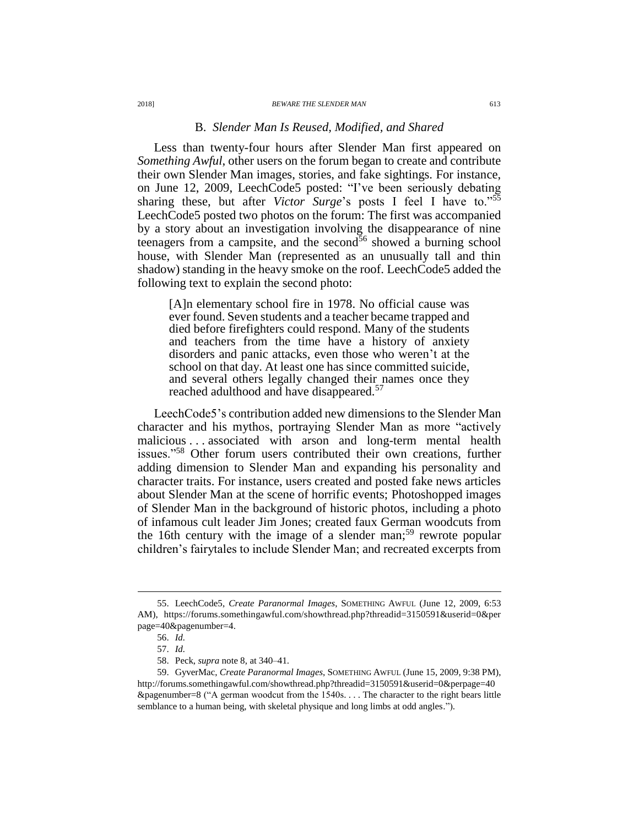#### B. *Slender Man Is Reused, Modified, and Shared*

Less than twenty-four hours after Slender Man first appeared on *Something Awful*, other users on the forum began to create and contribute their own Slender Man images, stories, and fake sightings. For instance, on June 12, 2009, LeechCode5 posted: "I've been seriously debating sharing these, but after *Victor Surge*'s posts I feel I have to."<sup>55</sup> LeechCode5 posted two photos on the forum: The first was accompanied by a story about an investigation involving the disappearance of nine teenagers from a campsite, and the second $56$  showed a burning school house, with Slender Man (represented as an unusually tall and thin shadow) standing in the heavy smoke on the roof. LeechCode5 added the following text to explain the second photo:

[A]n elementary school fire in 1978. No official cause was ever found. Seven students and a teacher became trapped and died before firefighters could respond. Many of the students and teachers from the time have a history of anxiety disorders and panic attacks, even those who weren't at the school on that day. At least one has since committed suicide, and several others legally changed their names once they reached adulthood and have disappeared.<sup>57</sup>

LeechCode5's contribution added new dimensions to the Slender Man character and his mythos, portraying Slender Man as more "actively malicious . . . associated with arson and long-term mental health issues."<sup>58</sup> Other forum users contributed their own creations, further adding dimension to Slender Man and expanding his personality and character traits. For instance, users created and posted fake news articles about Slender Man at the scene of horrific events; Photoshopped images of Slender Man in the background of historic photos, including a photo of infamous cult leader Jim Jones; created faux German woodcuts from the 16th century with the image of a slender man;<sup>59</sup> rewrote popular children's fairytales to include Slender Man; and recreated excerpts from

<sup>55.</sup> LeechCode5, *Create Paranormal Images*, SOMETHING AWFUL (June 12, 2009, 6:53 AM), https://forums.somethingawful.com/showthread.php?threadid=3150591&userid=0&per page=40&pagenumber=4.

<sup>56.</sup> *Id.*

<sup>57.</sup> *Id.*

<sup>58.</sup> Peck, *supra* note [8,](#page-2-0) at 340–41.

<sup>59.</sup> GyverMac, *Create Paranormal Images*, SOMETHING AWFUL (June 15, 2009, 9:38 PM), http://forums.somethingawful.com/showthread.php?threadid=3150591&userid=0&perpage=40  $\&$ pagenumber=8 ("A german woodcut from the 1540s... The character to the right bears little semblance to a human being, with skeletal physique and long limbs at odd angles.").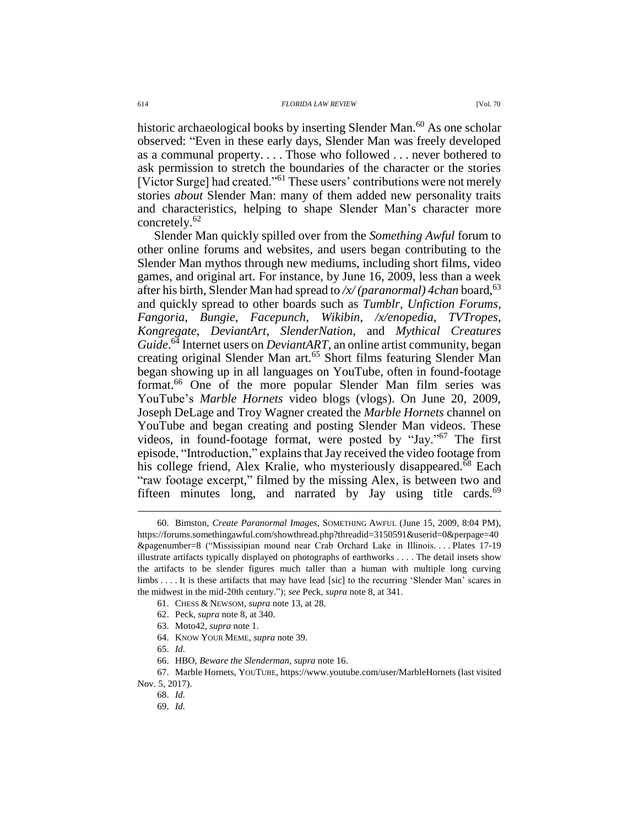historic archaeological books by inserting Slender Man.<sup>60</sup> As one scholar observed: "Even in these early days, Slender Man was freely developed as a communal property. . . . Those who followed . . . never bothered to ask permission to stretch the boundaries of the character or the stories [Victor Surge] had created."<sup>61</sup> These users' contributions were not merely stories *about* Slender Man: many of them added new personality traits and characteristics, helping to shape Slender Man's character more concretely.<sup>62</sup>

Slender Man quickly spilled over from the *Something Awful* forum to other online forums and websites, and users began contributing to the Slender Man mythos through new mediums, including short films, video games, and original art. For instance, by June 16, 2009, less than a week after his birth, Slender Man had spread to /x/ (paranormal) 4chan board, <sup>63</sup> and quickly spread to other boards such as *Tumblr*, *Unfiction Forums*, *Fangoria*, *Bungie*, *Facepunch*, *Wikibin*, */x/enopedia*, *TVTropes*, *Kongregate*, *DeviantArt*, *SlenderNation*, and *Mythical Creatures*  Guide.<sup>64</sup> Internet users on *DeviantART*, an online artist community, began creating original Slender Man art.<sup>65</sup> Short films featuring Slender Man began showing up in all languages on YouTube, often in found-footage format.<sup>66</sup> One of the more popular Slender Man film series was YouTube's *Marble Hornets* video blogs (vlogs). On June 20, 2009, Joseph DeLage and Troy Wagner created the *Marble Hornets* channel on YouTube and began creating and posting Slender Man videos. These videos, in found-footage format, were posted by "Jay."<sup>67</sup> The first episode, "Introduction," explains that Jay received the video footage from his college friend, Alex Kralie, who mysteriously disappeared.<sup>68</sup> Each "raw footage excerpt," filmed by the missing Alex, is between two and fifteen minutes long, and narrated by Jay using title cards. $69$ 

- 62. Peck, *supra* note [8,](#page-2-0) at 340.
- 63. Moto42, *supra* not[e 1.](#page-2-2)
- 64. KNOW YOUR MEME, *supra* not[e 39.](#page-8-0)

<sup>60.</sup> Bimston, *Create Paranormal Images*, SOMETHING AWFUL (June 15, 2009, 8:04 PM), https://forums.somethingawful.com/showthread.php?threadid=3150591&userid=0&perpage=40 &pagenumber=8 ("Mississipian mound near Crab Orchard Lake in Illinois. . . . Plates 17-19 illustrate artifacts typically displayed on photographs of earthworks . . . . The detail insets show the artifacts to be slender figures much taller than a human with multiple long curving limbs . . . . It is these artifacts that may have lead [sic] to the recurring 'Slender Man' scares in the midwest in the mid-20th century."); *see* Peck, *supra* note [8,](#page-2-0) at 341.

<sup>61.</sup> CHESS & NEWSOM, *supra* note [13,](#page-3-0) at 28.

<sup>65.</sup> *Id.*

<sup>66.</sup> HBO, *Beware the Slenderman*, *supra* not[e 16.](#page-3-1)

<sup>67.</sup> Marble Hornets, YOUTUBE, https://www.youtube.com/user/MarbleHornets (last visited Nov. 5, 2017).

<sup>68.</sup> *Id.*

<sup>69.</sup> *Id.*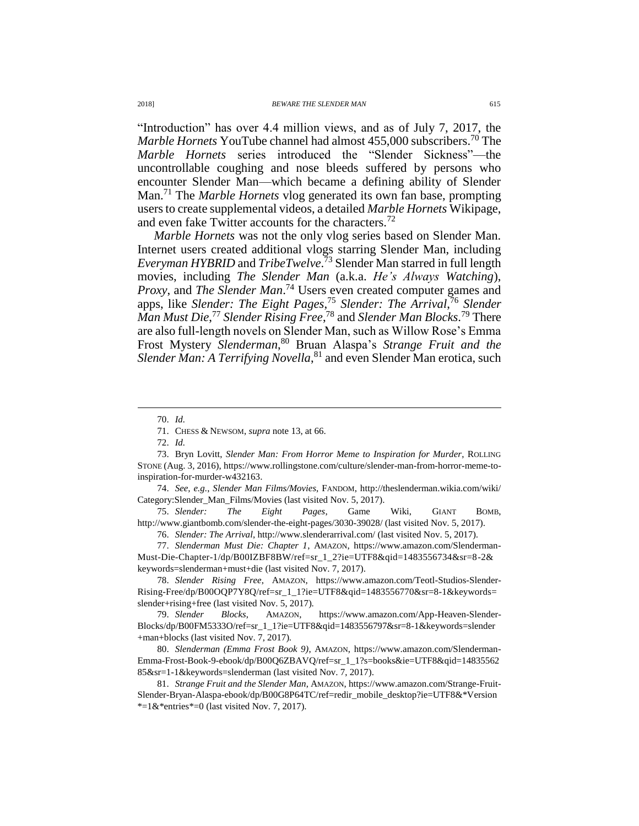"Introduction" has over 4.4 million views, and as of July 7, 2017, the *Marble Hornets* YouTube channel had almost 455,000 subscribers. <sup>70</sup> The *Marble Hornets* series introduced the "Slender Sickness"—the uncontrollable coughing and nose bleeds suffered by persons who encounter Slender Man—which became a defining ability of Slender Man.<sup>71</sup> The *Marble Hornets* vlog generated its own fan base, prompting users to create supplemental videos, a detailed *Marble Hornets* Wikipage, and even fake Twitter accounts for the characters.<sup>72</sup>

*Marble Hornets* was not the only vlog series based on Slender Man. Internet users created additional vlogs starring Slender Man, including *Everyman HYBRID* and *TribeTwelve*. <sup>73</sup> Slender Man starred in full length movies, including *The Slender Man* (a.k.a. *He's Always Watching*), *Proxy*, and *The Slender Man*. <sup>74</sup> Users even created computer games and apps, like *Slender: The Eight Pages*, <sup>75</sup> *Slender: The Arrival*, <sup>76</sup> *Slender Man Must Die*, <sup>77</sup> *Slender Rising Free*, <sup>78</sup> and *Slender Man Blocks*. <sup>79</sup> There are also full-length novels on Slender Man, such as Willow Rose's Emma Frost Mystery *Slenderman*, <sup>80</sup> Bruan Alaspa's *Strange Fruit and the*  Slender Man: A Terrifying Novella,<sup>81</sup> and even Slender Man erotica, such

 $\overline{a}$ 

74. *See, e.g.*, *Slender Man Films/Movies*, FANDOM, http://theslenderman.wikia.com/wiki/ Category:Slender\_Man\_Films/Movies (last visited Nov. 5, 2017).

75. *Slender: The Eight Pages*, Game Wiki, GIANT BOMB, http://www.giantbomb.com/slender-the-eight-pages/3030-39028/ (last visited Nov. 5, 2017).

76. *Slender: The Arrival*, http://www.slenderarrival.com/ (last visited Nov. 5, 2017).

77. *Slenderman Must Die: Chapter 1*, AMAZON, https://www.amazon.com/Slenderman-Must-Die-Chapter-1/dp/B00IZBF8BW/ref=sr\_1\_2?ie=UTF8&qid=1483556734&sr=8-2& keywords=slenderman+must+die (last visited Nov. 7, 2017).

78. *Slender Rising Free*, AMAZON, https://www.amazon.com/Teotl-Studios-Slender-Rising-Free/dp/B00OQP7Y8Q/ref=sr\_1\_1?ie=UTF8&qid=1483556770&sr=8-1&keywords= slender+rising+free (last visited Nov. 5, 2017).

79. *Slender Blocks*, AMAZON, https://www.amazon.com/App-Heaven-Slender-Blocks/dp/B00FM5333O/ref=sr\_1\_1?ie=UTF8&qid=1483556797&sr=8-1&keywords=slender +man+blocks (last visited Nov. 7, 2017).

80. *Slenderman (Emma Frost Book 9)*, AMAZON, https://www.amazon.com/Slenderman-Emma-Frost-Book-9-ebook/dp/B00Q6ZBAVQ/ref=sr\_1\_1?s=books&ie=UTF8&qid=14835562 85&sr=1-1&keywords=slenderman (last visited Nov. 7, 2017).

81. *Strange Fruit and the Slender Man*, AMAZON, https://www.amazon.com/Strange-Fruit-Slender-Bryan-Alaspa-ebook/dp/B00G8P64TC/ref=redir\_mobile\_desktop?ie=UTF8&\*Version \*=1&\*entries\*=0 (last visited Nov. 7, 2017).

<sup>70.</sup> *Id.*

<sup>71.</sup> CHESS & NEWSOM, *supra* note [13,](#page-3-0) at 66.

<sup>72.</sup> *Id.*

<sup>73.</sup> Bryn Lovitt, *Slender Man: From Horror Meme to Inspiration for Murder*, ROLLING STONE (Aug. 3, 2016), https://www.rollingstone.com/culture/slender-man-from-horror-meme-toinspiration-for-murder-w432163.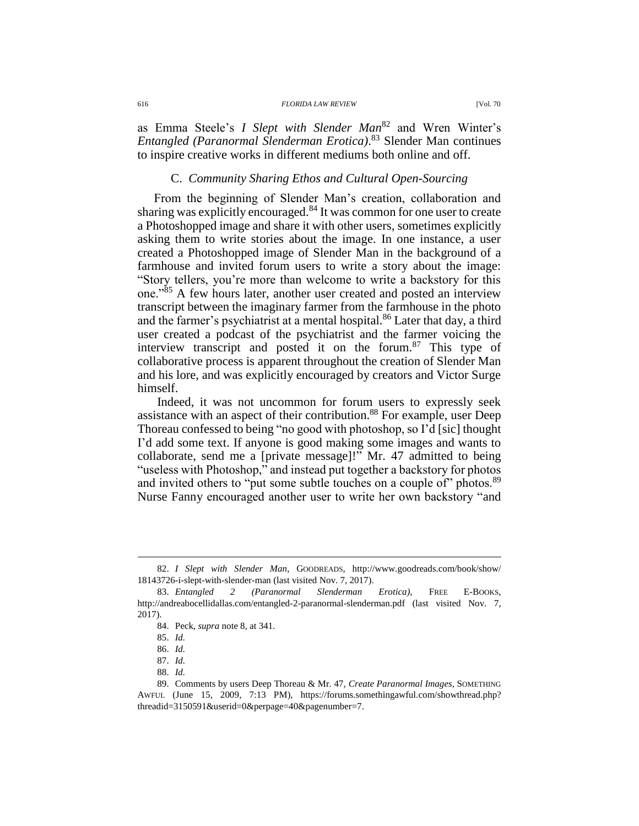as Emma Steele's *I Slept with Slender Man*<sup>82</sup> and Wren Winter's *Entangled (Paranormal Slenderman Erotica)*. <sup>83</sup> Slender Man continues to inspire creative works in different mediums both online and off.

#### C. *Community Sharing Ethos and Cultural Open-Sourcing*

From the beginning of Slender Man's creation, collaboration and sharing was explicitly encouraged.<sup>84</sup> It was common for one user to create a Photoshopped image and share it with other users, sometimes explicitly asking them to write stories about the image. In one instance, a user created a Photoshopped image of Slender Man in the background of a farmhouse and invited forum users to write a story about the image: "Story tellers, you're more than welcome to write a backstory for this one."<sup>85</sup> A few hours later, another user created and posted an interview transcript between the imaginary farmer from the farmhouse in the photo and the farmer's psychiatrist at a mental hospital.<sup>86</sup> Later that day, a third user created a podcast of the psychiatrist and the farmer voicing the interview transcript and posted it on the forum.<sup>87</sup> This type of collaborative process is apparent throughout the creation of Slender Man and his lore, and was explicitly encouraged by creators and Victor Surge himself.

Indeed, it was not uncommon for forum users to expressly seek assistance with an aspect of their contribution.<sup>88</sup> For example, user Deep Thoreau confessed to being "no good with photoshop, so I'd [sic] thought I'd add some text. If anyone is good making some images and wants to collaborate, send me a [private message]!" Mr. 47 admitted to being "useless with Photoshop," and instead put together a backstory for photos and invited others to "put some subtle touches on a couple of" photos.<sup>89</sup> Nurse Fanny encouraged another user to write her own backstory "and

<sup>82.</sup> *I Slept with Slender Man*, GOODREADS, http://www.goodreads.com/book/show/ 18143726-i-slept-with-slender-man (last visited Nov. 7, 2017).

<sup>83.</sup> *Entangled 2 (Paranormal Slenderman Erotica)*, FREE E-BOOKS, http://andreabocellidallas.com/entangled-2-paranormal-slenderman.pdf (last visited Nov. 7, 2017).

<sup>84.</sup> Peck, *supra* note [8,](#page-2-0) at 341.

<sup>85.</sup> *Id.*

<sup>86.</sup> *Id.*

<sup>87.</sup> *Id.*

<sup>88.</sup> *Id.*

<sup>89.</sup> Comments by users Deep Thoreau & Mr. 47, *Create Paranormal Images*, SOMETHING AWFUL (June 15, 2009, 7:13 PM), https://forums.somethingawful.com/showthread.php? threadid=3150591&userid=0&perpage=40&pagenumber=7.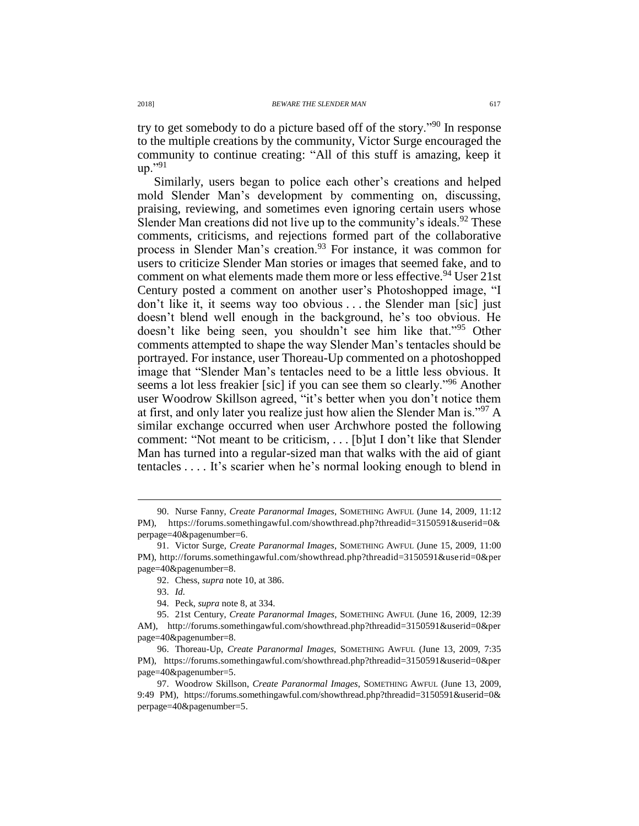try to get somebody to do a picture based off of the story."<sup>90</sup> In response to the multiple creations by the community, Victor Surge encouraged the community to continue creating: "All of this stuff is amazing, keep it up." $91$ 

Similarly, users began to police each other's creations and helped mold Slender Man's development by commenting on, discussing, praising, reviewing, and sometimes even ignoring certain users whose Slender Man creations did not live up to the community's ideals.<sup>92</sup> These comments, criticisms, and rejections formed part of the collaborative process in Slender Man's creation.<sup>93</sup> For instance, it was common for users to criticize Slender Man stories or images that seemed fake, and to comment on what elements made them more or less effective.<sup>94</sup> User 21st Century posted a comment on another user's Photoshopped image, "I don't like it, it seems way too obvious . . . the Slender man [sic] just doesn't blend well enough in the background, he's too obvious. He doesn't like being seen, you shouldn't see him like that."<sup>95</sup> Other comments attempted to shape the way Slender Man's tentacles should be portrayed. For instance, user Thoreau-Up commented on a photoshopped image that "Slender Man's tentacles need to be a little less obvious. It seems a lot less freakier [sic] if you can see them so clearly."<sup>96</sup> Another user Woodrow Skillson agreed, "it's better when you don't notice them at first, and only later you realize just how alien the Slender Man is."<sup>97</sup> A similar exchange occurred when user Archwhore posted the following comment: "Not meant to be criticism, . . . [b]ut I don't like that Slender Man has turned into a regular-sized man that walks with the aid of giant tentacles . . . . It's scarier when he's normal looking enough to blend in

<sup>90.</sup> Nurse Fanny, *Create Paranormal Images*, SOMETHING AWFUL (June 14, 2009, 11:12 PM), https://forums.somethingawful.com/showthread.php?threadid=3150591&userid=0& perpage=40&pagenumber=6.

<sup>91.</sup> Victor Surge, *Create Paranormal Images*, SOMETHING AWFUL (June 15, 2009, 11:00 PM), http://forums.somethingawful.com/showthread.php?threadid=3150591&userid=0&per page=40&pagenumber=8.

<sup>92.</sup> Chess, *supra* note [10,](#page-2-1) at 386.

<sup>93.</sup> *Id.*

<sup>94.</sup> Peck, *supra* note [8,](#page-2-0) at 334.

<sup>95.</sup> 21st Century, *Create Paranormal Images*, SOMETHING AWFUL (June 16, 2009, 12:39 AM), http://forums.somethingawful.com/showthread.php?threadid=3150591&userid=0&per page=40&pagenumber=8.

<sup>96.</sup> Thoreau-Up, *Create Paranormal Images*, SOMETHING AWFUL (June 13, 2009, 7:35 PM), https://forums.somethingawful.com/showthread.php?threadid=3150591&userid=0&per page=40&pagenumber=5.

<sup>97.</sup> Woodrow Skillson, *Create Paranormal Images*, SOMETHING AWFUL (June 13, 2009, 9:49 PM), https://forums.somethingawful.com/showthread.php?threadid=3150591&userid=0& perpage=40&pagenumber=5.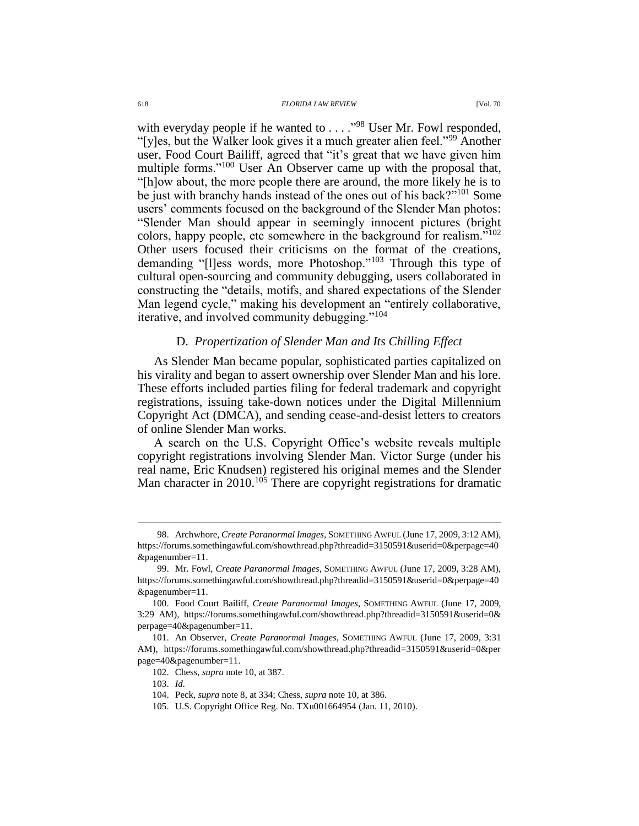with everyday people if he wanted to . . . ."<sup>98</sup> User Mr. Fowl responded, "[y]es, but the Walker look gives it a much greater alien feel."<sup>99</sup> Another user, Food Court Bailiff, agreed that "it's great that we have given him multiple forms."<sup>100</sup> User An Observer came up with the proposal that, "[h]ow about, the more people there are around, the more likely he is to be just with branchy hands instead of the ones out of his back?"<sup>101</sup> Some users' comments focused on the background of the Slender Man photos: "Slender Man should appear in seemingly innocent pictures (bright colors, happy people, etc somewhere in the background for realism."<sup>102</sup> Other users focused their criticisms on the format of the creations, demanding "[l]ess words, more Photoshop."<sup>103</sup> Through this type of cultural open-sourcing and community debugging, users collaborated in constructing the "details, motifs, and shared expectations of the Slender Man legend cycle," making his development an "entirely collaborative, iterative, and involved community debugging."<sup>104</sup>

## D. *Propertization of Slender Man and Its Chilling Effect*

As Slender Man became popular, sophisticated parties capitalized on his virality and began to assert ownership over Slender Man and his lore. These efforts included parties filing for federal trademark and copyright registrations, issuing take-down notices under the Digital Millennium Copyright Act (DMCA), and sending cease-and-desist letters to creators of online Slender Man works.

A search on the U.S. Copyright Office's website reveals multiple copyright registrations involving Slender Man. Victor Surge (under his real name, Eric Knudsen) registered his original memes and the Slender Man character in 2010.<sup>105</sup> There are copyright registrations for dramatic

<sup>98.</sup> Archwhore, *Create Paranormal Images*, SOMETHING AWFUL (June 17, 2009, 3:12 AM), https://forums.somethingawful.com/showthread.php?threadid=3150591&userid=0&perpage=40 &pagenumber=11.

<sup>99.</sup> Mr. Fowl, *Create Paranormal Images*, SOMETHING AWFUL (June 17, 2009, 3:28 AM), https://forums.somethingawful.com/showthread.php?threadid=3150591&userid=0&perpage=40 &pagenumber=11.

<sup>100.</sup> Food Court Bailiff, *Create Paranormal Images*, SOMETHING AWFUL (June 17, 2009, 3:29 AM), https://forums.somethingawful.com/showthread.php?threadid=3150591&userid=0& perpage=40&pagenumber=11.

<sup>101.</sup> An Observer, *Create Paranormal Images*, SOMETHING AWFUL (June 17, 2009, 3:31 AM), https://forums.somethingawful.com/showthread.php?threadid=3150591&userid=0&per page=40&pagenumber=11.

<sup>102.</sup> Chess, *supra* note [10,](#page-2-1) at 387.

<sup>103.</sup> *Id.*

<sup>104.</sup> Peck, *supra* note [8,](#page-2-0) at 334; Chess, *supra* note [10,](#page-2-1) at 386.

<sup>105.</sup> U.S. Copyright Office Reg. No. TXu001664954 (Jan. 11, 2010).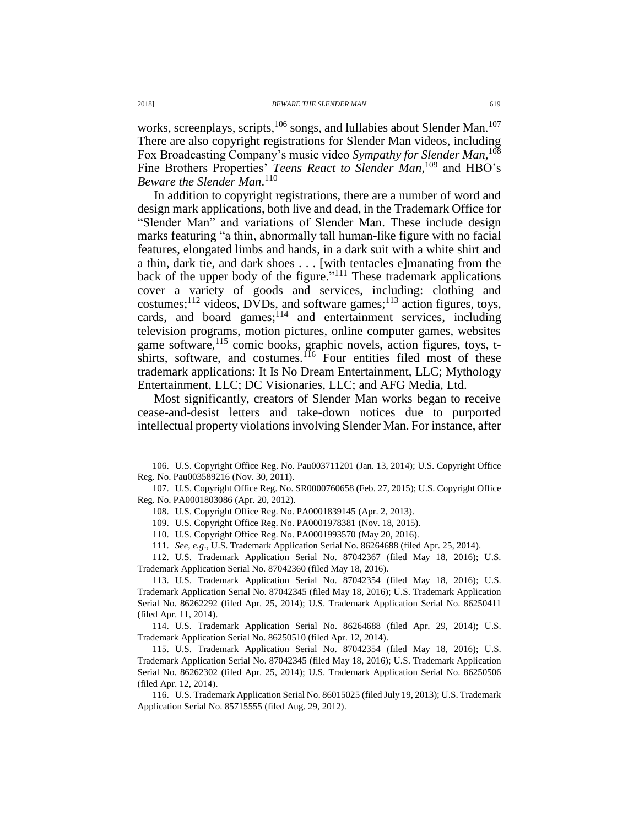works, screenplays, scripts, <sup>106</sup> songs, and lullabies about Slender Man.<sup>107</sup> There are also copyright registrations for Slender Man videos, including Fox Broadcasting Company's music video Sympathy for Slender Man,<sup>108</sup> Fine Brothers Properties' Teens React to Slender Man,<sup>109</sup> and HBO's *Beware the Slender Man*. 110

In addition to copyright registrations, there are a number of word and design mark applications, both live and dead, in the Trademark Office for "Slender Man" and variations of Slender Man. These include design marks featuring "a thin, abnormally tall human-like figure with no facial features, elongated limbs and hands, in a dark suit with a white shirt and a thin, dark tie, and dark shoes . . . [with tentacles e]manating from the back of the upper body of the figure." <sup>111</sup> These trademark applications cover a variety of goods and services, including: clothing and costumes; $^{112}$  videos, DVDs, and software games; $^{113}$  action figures, toys, cards, and board games;<sup>114</sup> and entertainment services, including television programs, motion pictures, online computer games, websites game software,<sup>115</sup> comic books, graphic novels, action figures, toys, tshirts, software, and costumes.<sup>116</sup> Four entities filed most of these trademark applications: It Is No Dream Entertainment, LLC; Mythology Entertainment, LLC; DC Visionaries, LLC; and AFG Media, Ltd.

Most significantly, creators of Slender Man works began to receive cease-and-desist letters and take-down notices due to purported intellectual property violations involving Slender Man. For instance, after

<sup>106.</sup> U.S. Copyright Office Reg. No. Pau003711201 (Jan. 13, 2014); U.S. Copyright Office Reg. No. Pau003589216 (Nov. 30, 2011).

<sup>107.</sup> U.S. Copyright Office Reg. No. SR0000760658 (Feb. 27, 2015); U.S. Copyright Office Reg. No. PA0001803086 (Apr. 20, 2012).

<sup>108.</sup> U.S. Copyright Office Reg. No. PA0001839145 (Apr. 2, 2013).

<sup>109.</sup> U.S. Copyright Office Reg. No. PA0001978381 (Nov. 18, 2015).

<sup>110.</sup> U.S. Copyright Office Reg. No. PA0001993570 (May 20, 2016).

<sup>111.</sup> *See, e.g*., U.S. Trademark Application Serial No. 86264688 (filed Apr. 25, 2014).

<sup>112.</sup> U.S. Trademark Application Serial No. 87042367 (filed May 18, 2016); U.S. Trademark Application Serial No. 87042360 (filed May 18, 2016).

<sup>113.</sup> U.S. Trademark Application Serial No. 87042354 (filed May 18, 2016); U.S. Trademark Application Serial No. 87042345 (filed May 18, 2016); U.S. Trademark Application Serial No. 86262292 (filed Apr. 25, 2014); U.S. Trademark Application Serial No. 86250411 (filed Apr. 11, 2014).

<sup>114.</sup> U.S. Trademark Application Serial No. 86264688 (filed Apr. 29, 2014); U.S. Trademark Application Serial No. 86250510 (filed Apr. 12, 2014).

<sup>115.</sup> U.S. Trademark Application Serial No. 87042354 (filed May 18, 2016); U.S. Trademark Application Serial No. 87042345 (filed May 18, 2016); U.S. Trademark Application Serial No. 86262302 (filed Apr. 25, 2014); U.S. Trademark Application Serial No. 86250506 (filed Apr. 12, 2014).

<sup>116.</sup> U.S. Trademark Application Serial No. 86015025 (filed July 19, 2013); U.S. Trademark Application Serial No. 85715555 (filed Aug. 29, 2012).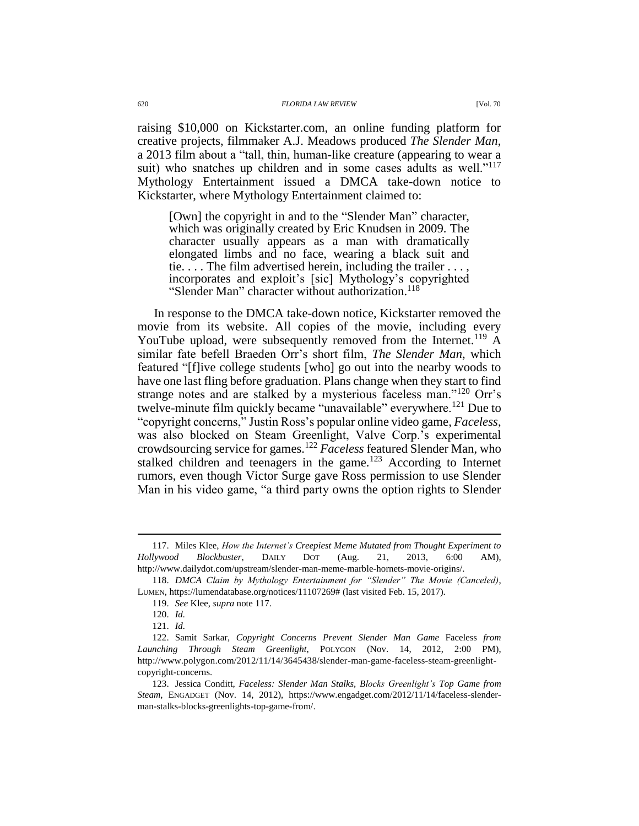raising \$10,000 on Kickstarter.com, an online funding platform for creative projects, filmmaker A.J. Meadows produced *The Slender Man*, a 2013 film about a "tall, thin, human-like creature (appearing to wear a suit) who snatches up children and in some cases adults as well."<sup>117</sup> Mythology Entertainment issued a DMCA take-down notice to Kickstarter, where Mythology Entertainment claimed to:

<span id="page-19-0"></span>[Own] the copyright in and to the "Slender Man" character, which was originally created by Eric Knudsen in 2009. The character usually appears as a man with dramatically elongated limbs and no face, wearing a black suit and tie. . . . The film advertised herein, including the trailer . . . , incorporates and exploit's [sic] Mythology's copyrighted "Slender Man" character without authorization.<sup>118</sup>

In response to the DMCA take-down notice, Kickstarter removed the movie from its website. All copies of the movie, including every YouTube upload, were subsequently removed from the Internet.<sup>119</sup> A similar fate befell Braeden Orr's short film, *The Slender Man*, which featured "[f]ive college students [who] go out into the nearby woods to have one last fling before graduation. Plans change when they start to find strange notes and are stalked by a mysterious faceless man."<sup>120</sup> Orr's twelve-minute film quickly became "unavailable" everywhere.<sup>121</sup> Due to "copyright concerns," Justin Ross's popular online video game, *Faceless*, was also blocked on Steam Greenlight, Valve Corp.'s experimental crowdsourcing service for games.<sup>122</sup> *Faceless* featured Slender Man, who stalked children and teenagers in the game.<sup>123</sup> According to Internet rumors, even though Victor Surge gave Ross permission to use Slender Man in his video game, "a third party owns the option rights to Slender

<span id="page-19-1"></span><sup>117.</sup> Miles Klee, *How the Internet's Creepiest Meme Mutated from Thought Experiment to Hollywood Blockbuster*, DAILY DOT (Aug. 21, 2013, 6:00 AM), http://www.dailydot.com/upstream/slender-man-meme-marble-hornets-movie-origins/.

<sup>118.</sup> *DMCA Claim by Mythology Entertainment for "Slender" The Movie (Canceled)*, LUMEN, https://lumendatabase.org/notices/11107269# (last visited Feb. 15, 2017).

<sup>119.</sup> *See* Klee, *supra* note [117.](#page-19-0)

<sup>120.</sup> *Id.*

<sup>121.</sup> *Id.*

<sup>122.</sup> Samit Sarkar, *Copyright Concerns Prevent Slender Man Game* Faceless *from Launching Through Steam Greenlight*, POLYGON (Nov. 14, 2012, 2:00 PM), http://www.polygon.com/2012/11/14/3645438/slender-man-game-faceless-steam-greenlightcopyright-concerns.

<sup>123.</sup> Jessica Conditt, *Faceless: Slender Man Stalks, Blocks Greenlight's Top Game from Steam*, ENGADGET (Nov. 14, 2012), https://www.engadget.com/2012/11/14/faceless-slenderman-stalks-blocks-greenlights-top-game-from/.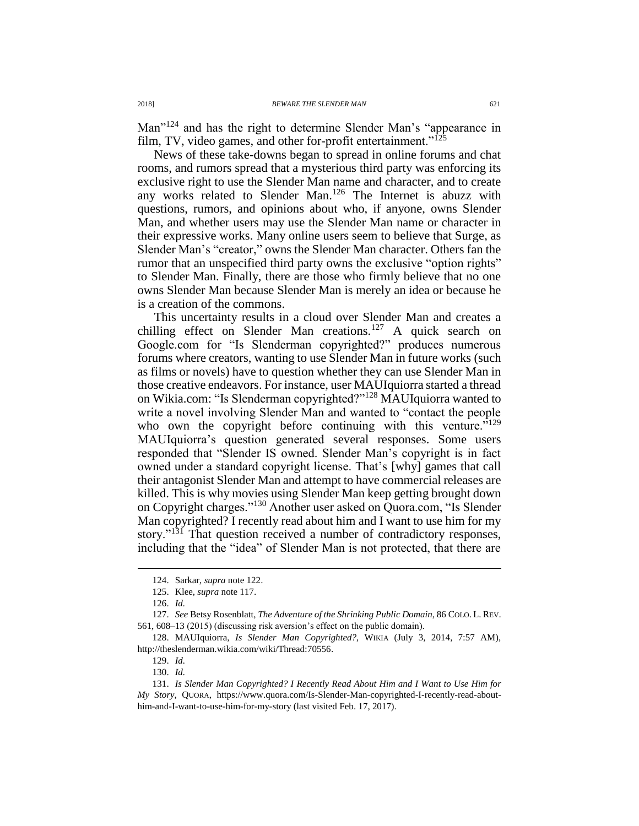Man<sup>"124</sup> and has the right to determine Slender Man's "appearance in film, TV, video games, and other for-profit entertainment."<sup>125</sup>

News of these take-downs began to spread in online forums and chat rooms, and rumors spread that a mysterious third party was enforcing its exclusive right to use the Slender Man name and character, and to create any works related to Slender Man.<sup>126</sup> The Internet is abuzz with questions, rumors, and opinions about who, if anyone, owns Slender Man, and whether users may use the Slender Man name or character in their expressive works. Many online users seem to believe that Surge, as Slender Man's "creator," owns the Slender Man character. Others fan the rumor that an unspecified third party owns the exclusive "option rights" to Slender Man. Finally, there are those who firmly believe that no one owns Slender Man because Slender Man is merely an idea or because he is a creation of the commons.

<span id="page-20-0"></span>This uncertainty results in a cloud over Slender Man and creates a chilling effect on Slender Man creations.<sup>127</sup> A quick search on Google.com for "Is Slenderman copyrighted?" produces numerous forums where creators, wanting to use Slender Man in future works (such as films or novels) have to question whether they can use Slender Man in those creative endeavors. For instance, user MAUIquiorra started a thread on Wikia.com: "Is Slenderman copyrighted?"<sup>128</sup> MAUIquiorra wanted to write a novel involving Slender Man and wanted to "contact the people who own the copyright before continuing with this venture.<sup> $5129$ </sup> MAUIquiorra's question generated several responses. Some users responded that "Slender IS owned. Slender Man's copyright is in fact owned under a standard copyright license. That's [why] games that call their antagonist Slender Man and attempt to have commercial releases are killed. This is why movies using Slender Man keep getting brought down on Copyright charges."<sup>130</sup> Another user asked on Quora.com, "Is Slender Man copyrighted? I recently read about him and I want to use him for my story."<sup>131</sup> That question received a number of contradictory responses, including that the "idea" of Slender Man is not protected, that there are

<sup>124.</sup> Sarkar, *supra* not[e 122.](#page-19-1)

<sup>125.</sup> Klee, *supra* note [117.](#page-19-0)

<sup>126.</sup> *Id.*

<sup>127.</sup> *See* Betsy Rosenblatt, *The Adventure of the Shrinking Public Domain*, 86 COLO. L. REV. 561, 608–13 (2015) (discussing risk aversion's effect on the public domain).

<sup>128.</sup> MAUIquiorra, *Is Slender Man Copyrighted?*, WIKIA (July 3, 2014, 7:57 AM), http://theslenderman.wikia.com/wiki/Thread:70556.

<sup>129.</sup> *Id.*

<sup>130.</sup> *Id.*

<sup>131.</sup> *Is Slender Man Copyrighted? I Recently Read About Him and I Want to Use Him for My Story*, QUORA, https://www.quora.com/Is-Slender-Man-copyrighted-I-recently-read-abouthim-and-I-want-to-use-him-for-my-story (last visited Feb. 17, 2017).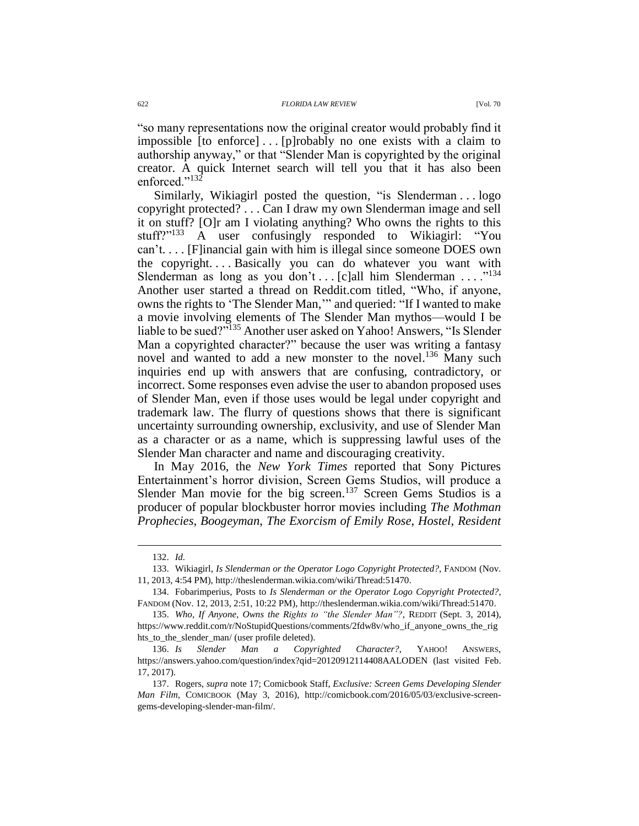"so many representations now the original creator would probably find it impossible [to enforce] . . . [p]robably no one exists with a claim to authorship anyway," or that "Slender Man is copyrighted by the original creator. A quick Internet search will tell you that it has also been enforced."<sup>132</sup>

Similarly, Wikiagirl posted the question, "is Slenderman . . . logo copyright protected? . . . Can I draw my own Slenderman image and sell it on stuff? [O]r am I violating anything? Who owns the rights to this stuff?"<sup>133</sup> A user confusingly responded to Wikiagirl: "You  $can't...$  [F]inancial gain with him is illegal since someone DOES own the copyright. . . . Basically you can do whatever you want with Slenderman as long as you don't . . . [c]all him Slenderman . . . .  $^{134}$ Another user started a thread on Reddit.com titled, "Who, if anyone, owns the rights to 'The Slender Man,'" and queried: "If I wanted to make a movie involving elements of The Slender Man mythos—would I be liable to be sued?"<sup>135</sup> Another user asked on Yahoo! Answers, "Is Slender Man a copyrighted character?" because the user was writing a fantasy novel and wanted to add a new monster to the novel.<sup>136</sup> Many such inquiries end up with answers that are confusing, contradictory, or incorrect. Some responses even advise the user to abandon proposed uses of Slender Man, even if those uses would be legal under copyright and trademark law. The flurry of questions shows that there is significant uncertainty surrounding ownership, exclusivity, and use of Slender Man as a character or as a name, which is suppressing lawful uses of the Slender Man character and name and discouraging creativity.

In May 2016, the *New York Times* reported that Sony Pictures Entertainment's horror division, Screen Gems Studios, will produce a Slender Man movie for the big screen.<sup>137</sup> Screen Gems Studios is a producer of popular blockbuster horror movies including *The Mothman Prophecies*, *Boogeyman*, *The Exorcism of Emily Rose*, *Hostel*, *Resident* 

<span id="page-21-0"></span><sup>132.</sup> *Id.*

<sup>133.</sup> Wikiagirl, *Is Slenderman or the Operator Logo Copyright Protected?*, FANDOM (Nov. 11, 2013, 4:54 PM), http://theslenderman.wikia.com/wiki/Thread:51470.

<sup>134.</sup> Fobarimperius, Posts to *Is Slenderman or the Operator Logo Copyright Protected?*, FANDOM (Nov. 12, 2013, 2:51, 10:22 PM), http://theslenderman.wikia.com/wiki/Thread:51470.

<sup>135.</sup> *Who, If Anyone, Owns the Rights to "the Slender Man"?*, REDDIT (Sept. 3, 2014), https://www.reddit.com/r/NoStupidQuestions/comments/2fdw8v/who\_if\_anyone\_owns\_the\_rig hts\_to\_the\_slender\_man/ (user profile deleted).

<sup>136.</sup> *Is Slender Man a Copyrighted Character?*, YAHOO! ANSWERS, https://answers.yahoo.com/question/index?qid=20120912114408AALODEN (last visited Feb. 17, 2017).

<sup>137.</sup> Rogers, *supra* not[e 17;](#page-3-2) Comicbook Staff, *Exclusive: Screen Gems Developing Slender Man Film*, COMICBOOK (May 3, 2016), http://comicbook.com/2016/05/03/exclusive-screengems-developing-slender-man-film/.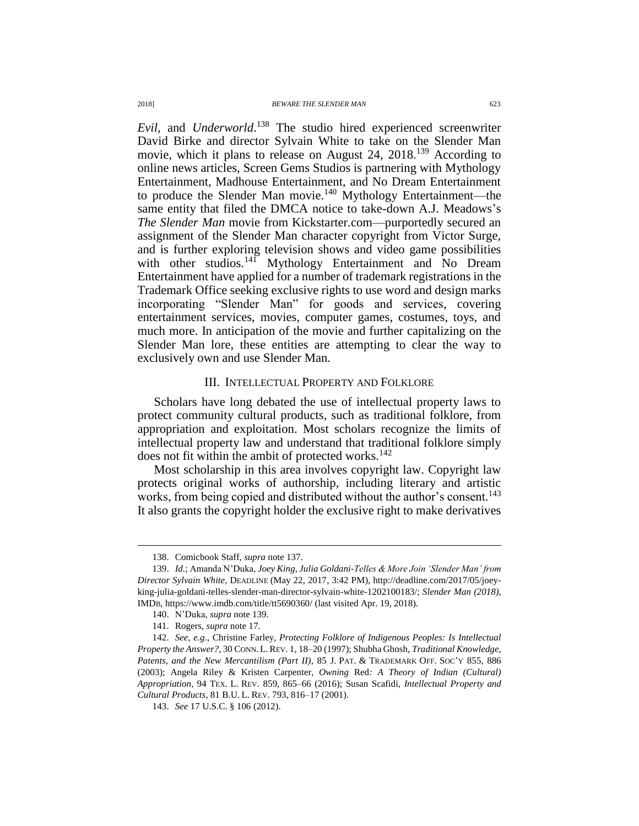<span id="page-22-0"></span>*Evil*, and *Underworld*. <sup>138</sup> The studio hired experienced screenwriter David Birke and director Sylvain White to take on the Slender Man movie, which it plans to release on August 24, 2018.<sup>139</sup> According to online news articles, Screen Gems Studios is partnering with Mythology Entertainment, Madhouse Entertainment, and No Dream Entertainment to produce the Slender Man movie.<sup>140</sup> Mythology Entertainment—the same entity that filed the DMCA notice to take-down A.J. Meadows's *The Slender Man* movie from Kickstarter.com—purportedly secured an assignment of the Slender Man character copyright from Victor Surge, and is further exploring television shows and video game possibilities with other studios.<sup>141</sup> Mythology Entertainment and No Dream Entertainment have applied for a number of trademark registrations in the Trademark Office seeking exclusive rights to use word and design marks incorporating "Slender Man" for goods and services, covering entertainment services, movies, computer games, costumes, toys, and much more. In anticipation of the movie and further capitalizing on the Slender Man lore, these entities are attempting to clear the way to exclusively own and use Slender Man.

#### <span id="page-22-1"></span>III. INTELLECTUAL PROPERTY AND FOLKLORE

Scholars have long debated the use of intellectual property laws to protect community cultural products, such as traditional folklore, from appropriation and exploitation. Most scholars recognize the limits of intellectual property law and understand that traditional folklore simply does not fit within the ambit of protected works. 142

Most scholarship in this area involves copyright law. Copyright law protects original works of authorship, including literary and artistic works, from being copied and distributed without the author's consent. 143 It also grants the copyright holder the exclusive right to make derivatives

<sup>138.</sup> Comicbook Staff, *supra* note [137.](#page-21-0)

<sup>139.</sup> *Id.*; Amanda N'Duka, *Joey King, Julia Goldani-Telles & More Join 'Slender Man' from Director Sylvain White*, DEADLINE (May 22, 2017, 3:42 PM), http://deadline.com/2017/05/joeyking-julia-goldani-telles-slender-man-director-sylvain-white-1202100183/; *Slender Man (2018)*, IMDB, https://www.imdb.com/title/tt5690360/ (last visited Apr. 19, 2018).

<sup>140.</sup> N'Duka, *supra* not[e 139.](#page-22-0)

<sup>141.</sup> Rogers, *supra* note [17.](#page-3-2)

<sup>142.</sup> *See, e.g*., Christine Farley, *Protecting Folklore of Indigenous Peoples: Is Intellectual Property the Answer?*, 30 CONN.L.REV. 1, 18–20 (1997); Shubha Ghosh, *Traditional Knowledge, Patents, and the New Mercantilism (Part II)*, 85 J. PAT. & TRADEMARK OFF. SOC'Y 855, 886 (2003); Angela Riley & Kristen Carpenter, *Owning* Red*: A Theory of Indian (Cultural) Appropriation*, 94 TEX. L. REV. 859, 865–66 (2016); Susan Scafidi, *Intellectual Property and Cultural Products*, 81 B.U. L. REV. 793, 816–17 (2001).

<sup>143.</sup> *See* 17 U.S.C. § 106 (2012).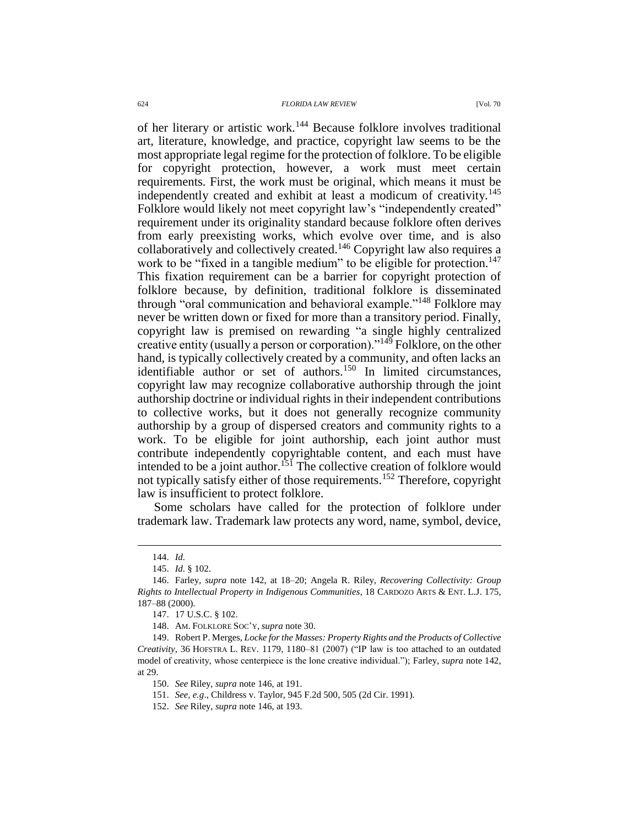#### 624 *FLORIDA LAW REVIEW* [Vol. 70

<span id="page-23-0"></span>of her literary or artistic work.<sup>144</sup> Because folklore involves traditional art, literature, knowledge, and practice, copyright law seems to be the most appropriate legal regime for the protection of folklore. To be eligible for copyright protection, however, a work must meet certain requirements. First, the work must be original, which means it must be independently created and exhibit at least a modicum of creativity.<sup>145</sup> Folklore would likely not meet copyright law's "independently created" requirement under its originality standard because folklore often derives from early preexisting works, which evolve over time, and is also collaboratively and collectively created. <sup>146</sup> Copyright law also requires a work to be "fixed in a tangible medium" to be eligible for protection.<sup>147</sup> This fixation requirement can be a barrier for copyright protection of folklore because, by definition, traditional folklore is disseminated through "oral communication and behavioral example."<sup>148</sup> Folklore may never be written down or fixed for more than a transitory period. Finally, copyright law is premised on rewarding "a single highly centralized creative entity (usually a person or corporation)."<sup>149</sup> Folklore, on the other hand, is typically collectively created by a community, and often lacks an identifiable author or set of authors.<sup>150</sup> In limited circumstances, copyright law may recognize collaborative authorship through the joint authorship doctrine or individual rights in their independent contributions to collective works, but it does not generally recognize community authorship by a group of dispersed creators and community rights to a work. To be eligible for joint authorship, each joint author must contribute independently copyrightable content, and each must have intended to be a joint author.<sup>151</sup> The collective creation of folklore would not typically satisfy either of those requirements.<sup>152</sup> Therefore, copyright law is insufficient to protect folklore.

<span id="page-23-1"></span>Some scholars have called for the protection of folklore under trademark law. Trademark law protects any word, name, symbol, device,

<sup>144.</sup> *Id.*

<sup>145.</sup> *Id.* § 102.

<sup>146.</sup> Farley, *supra* note [142,](#page-22-1) at 18–20; Angela R. Riley, *Recovering Collectivity: Group Rights to Intellectual Property in Indigenous Communities*, 18 CARDOZO ARTS & ENT. L.J. 175, 187–88 (2000).

<sup>147.</sup> 17 U.S.C. § 102.

<sup>148.</sup> AM. FOLKLORE SOC'Y, *supra* not[e 30.](#page-6-0)

<sup>149.</sup> Robert P. Merges, *Locke for the Masses: Property Rights and the Products of Collective Creativity*, 36 HOFSTRA L. REV. 1179, 1180–81 (2007) ("IP law is too attached to an outdated model of creativity, whose centerpiece is the lone creative individual."); Farley, *supra* not[e 142,](#page-22-1) at 29.

<sup>150.</sup> *See* Riley, *supra* note [146,](#page-23-0) at 191.

<sup>151.</sup> *See, e.g*., Childress v. Taylor, 945 F.2d 500, 505 (2d Cir. 1991).

<sup>152.</sup> *See* Riley, *supra* note [146,](#page-23-0) at 193.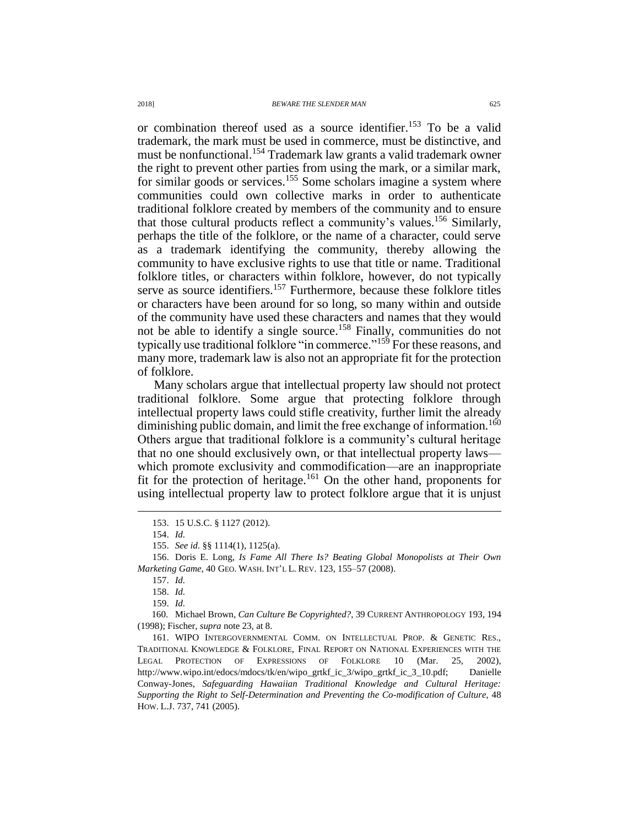or combination thereof used as a source identifier.<sup>153</sup> To be a valid trademark, the mark must be used in commerce, must be distinctive, and must be nonfunctional.<sup>154</sup> Trademark law grants a valid trademark owner the right to prevent other parties from using the mark, or a similar mark, for similar goods or services.<sup>155</sup> Some scholars imagine a system where communities could own collective marks in order to authenticate traditional folklore created by members of the community and to ensure that those cultural products reflect a community's values.<sup>156</sup> Similarly, perhaps the title of the folklore, or the name of a character, could serve as a trademark identifying the community, thereby allowing the community to have exclusive rights to use that title or name. Traditional folklore titles, or characters within folklore, however, do not typically serve as source identifiers.<sup>157</sup> Furthermore, because these folklore titles or characters have been around for so long, so many within and outside of the community have used these characters and names that they would not be able to identify a single source. <sup>158</sup> Finally, communities do not typically use traditional folklore "in commerce."<sup>159</sup> For these reasons, and many more, trademark law is also not an appropriate fit for the protection of folklore.

Many scholars argue that intellectual property law should not protect traditional folklore. Some argue that protecting folklore through intellectual property laws could stifle creativity, further limit the already diminishing public domain, and limit the free exchange of information.<sup>160</sup> Others argue that traditional folklore is a community's cultural heritage that no one should exclusively own, or that intellectual property laws which promote exclusivity and commodification—are an inappropriate fit for the protection of heritage.<sup>161</sup> On the other hand, proponents for using intellectual property law to protect folklore argue that it is unjust

<sup>153.</sup> 15 U.S.C. § 1127 (2012).

<sup>154.</sup> *Id.*

<sup>155.</sup> *See id.* §§ 1114(1), 1125(a).

<sup>156.</sup> Doris E. Long, *Is Fame All There Is? Beating Global Monopolists at Their Own Marketing Game*, 40 GEO. WASH. INT'L L. REV. 123, 155–57 (2008).

<sup>157.</sup> *Id.*

<sup>158.</sup> *Id.*

<sup>159.</sup> *Id.*

<sup>160.</sup> Michael Brown, *Can Culture Be Copyrighted?*, 39 CURRENT ANTHROPOLOGY 193, 194 (1998); Fischer, *supra* note [23,](#page-5-3) at 8.

<sup>161.</sup> WIPO INTERGOVERNMENTAL COMM. ON INTELLECTUAL PROP. & GENETIC RES., TRADITIONAL KNOWLEDGE & FOLKLORE, FINAL REPORT ON NATIONAL EXPERIENCES WITH THE LEGAL PROTECTION OF EXPRESSIONS OF FOLKLORE 10 (Mar. 25, 2002), http://www.wipo.int/edocs/mdocs/tk/en/wipo\_grtkf\_ic\_3/wipo\_grtkf\_ic\_3\_10.pdf; Danielle Conway-Jones, *Safeguarding Hawaiian Traditional Knowledge and Cultural Heritage: Supporting the Right to Self-Determination and Preventing the Co-modification of Culture*, 48 HOW. L.J. 737, 741 (2005).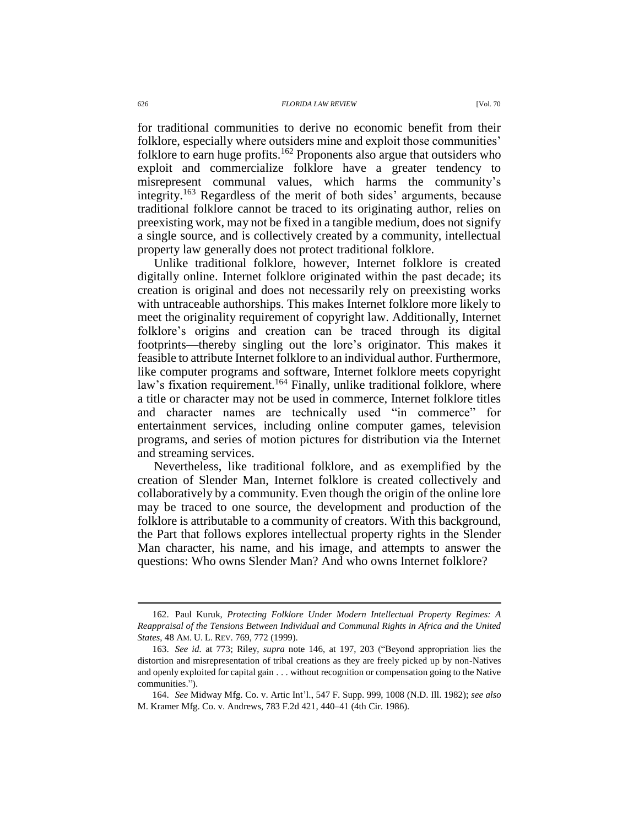for traditional communities to derive no economic benefit from their folklore, especially where outsiders mine and exploit those communities' folklore to earn huge profits.<sup>162</sup> Proponents also argue that outsiders who exploit and commercialize folklore have a greater tendency to misrepresent communal values, which harms the community's integrity.<sup>163</sup> Regardless of the merit of both sides' arguments, because traditional folklore cannot be traced to its originating author, relies on preexisting work, may not be fixed in a tangible medium, does not signify a single source, and is collectively created by a community, intellectual property law generally does not protect traditional folklore.

Unlike traditional folklore, however, Internet folklore is created digitally online. Internet folklore originated within the past decade; its creation is original and does not necessarily rely on preexisting works with untraceable authorships. This makes Internet folklore more likely to meet the originality requirement of copyright law. Additionally, Internet folklore's origins and creation can be traced through its digital footprints—thereby singling out the lore's originator. This makes it feasible to attribute Internet folklore to an individual author. Furthermore, like computer programs and software, Internet folklore meets copyright law's fixation requirement.<sup>164</sup> Finally, unlike traditional folklore, where a title or character may not be used in commerce, Internet folklore titles and character names are technically used "in commerce" for entertainment services, including online computer games, television programs, and series of motion pictures for distribution via the Internet and streaming services.

Nevertheless, like traditional folklore, and as exemplified by the creation of Slender Man, Internet folklore is created collectively and collaboratively by a community. Even though the origin of the online lore may be traced to one source, the development and production of the folklore is attributable to a community of creators. With this background, the Part that follows explores intellectual property rights in the Slender Man character, his name, and his image, and attempts to answer the questions: Who owns Slender Man? And who owns Internet folklore?

<sup>162.</sup> Paul Kuruk, *Protecting Folklore Under Modern Intellectual Property Regimes: A Reappraisal of the Tensions Between Individual and Communal Rights in Africa and the United States*, 48 AM. U. L. REV. 769, 772 (1999).

<sup>163.</sup> *See id.* at 773; Riley, *supra* note [146,](#page-23-0) at 197, 203 ("Beyond appropriation lies the distortion and misrepresentation of tribal creations as they are freely picked up by non-Natives and openly exploited for capital gain . . . without recognition or compensation going to the Native communities.").

<sup>164.</sup> *See* Midway Mfg. Co. v. Artic Int'l., 547 F. Supp. 999, 1008 (N.D. Ill. 1982); *see also* M. Kramer Mfg. Co. v. Andrews, 783 F.2d 421, 440–41 (4th Cir. 1986).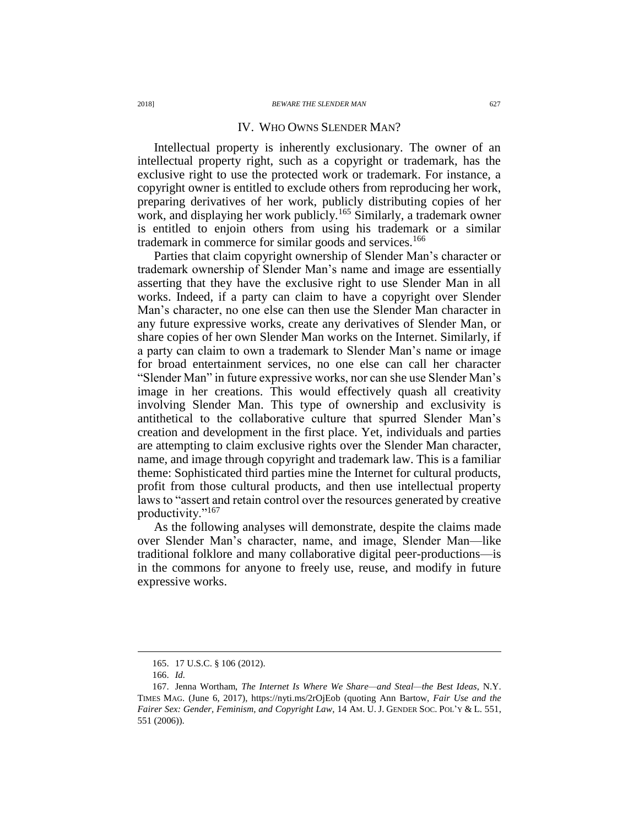#### IV. WHO OWNS SLENDER MAN?

Intellectual property is inherently exclusionary. The owner of an intellectual property right, such as a copyright or trademark, has the exclusive right to use the protected work or trademark. For instance, a copyright owner is entitled to exclude others from reproducing her work, preparing derivatives of her work, publicly distributing copies of her work, and displaying her work publicly.<sup>165</sup> Similarly, a trademark owner is entitled to enjoin others from using his trademark or a similar trademark in commerce for similar goods and services.<sup>166</sup>

Parties that claim copyright ownership of Slender Man's character or trademark ownership of Slender Man's name and image are essentially asserting that they have the exclusive right to use Slender Man in all works. Indeed, if a party can claim to have a copyright over Slender Man's character, no one else can then use the Slender Man character in any future expressive works, create any derivatives of Slender Man, or share copies of her own Slender Man works on the Internet. Similarly, if a party can claim to own a trademark to Slender Man's name or image for broad entertainment services, no one else can call her character "Slender Man" in future expressive works, nor can she use Slender Man's image in her creations. This would effectively quash all creativity involving Slender Man. This type of ownership and exclusivity is antithetical to the collaborative culture that spurred Slender Man's creation and development in the first place. Yet, individuals and parties are attempting to claim exclusive rights over the Slender Man character, name, and image through copyright and trademark law. This is a familiar theme: Sophisticated third parties mine the Internet for cultural products, profit from those cultural products, and then use intellectual property laws to "assert and retain control over the resources generated by creative productivity."<sup>167</sup>

<span id="page-26-0"></span>As the following analyses will demonstrate, despite the claims made over Slender Man's character, name, and image, Slender Man—like traditional folklore and many collaborative digital peer-productions—is in the commons for anyone to freely use, reuse, and modify in future expressive works.

<sup>165.</sup> 17 U.S.C. § 106 (2012).

<sup>166.</sup> *Id.*

<sup>167.</sup> Jenna Wortham, *The Internet Is Where We Share—and Steal—the Best Ideas*, N.Y. TIMES MAG. (June 6, 2017), https://nyti.ms/2rOjEob (quoting Ann Bartow, *Fair Use and the Fairer Sex: Gender, Feminism, and Copyright Law*, 14 AM. U. J. GENDER SOC. POL'Y & L. 551, 551 (2006)).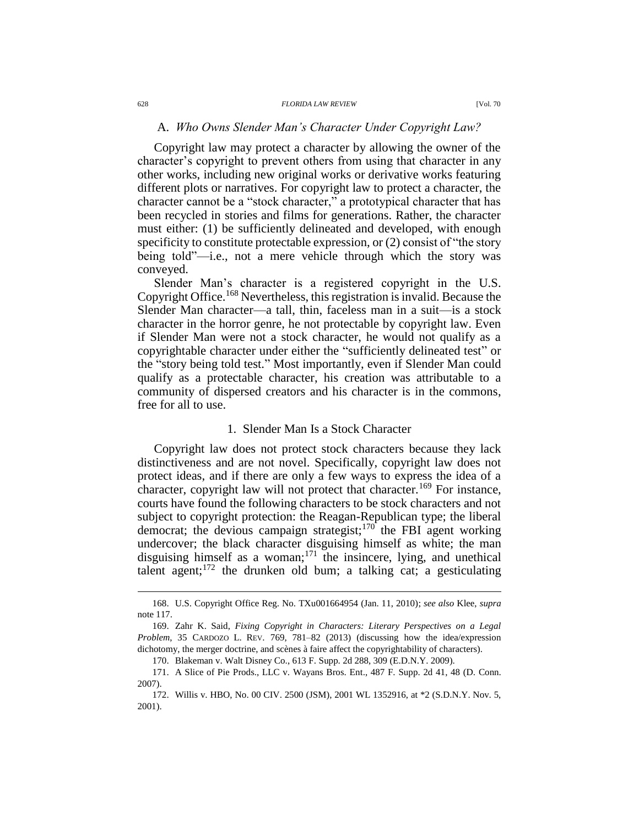## A. *Who Owns Slender Man's Character Under Copyright Law?*

Copyright law may protect a character by allowing the owner of the character's copyright to prevent others from using that character in any other works, including new original works or derivative works featuring different plots or narratives. For copyright law to protect a character, the character cannot be a "stock character," a prototypical character that has been recycled in stories and films for generations. Rather, the character must either: (1) be sufficiently delineated and developed, with enough specificity to constitute protectable expression, or (2) consist of "the story being told"—i.e., not a mere vehicle through which the story was conveyed.

Slender Man's character is a registered copyright in the U.S. Copyright Office.<sup>168</sup> Nevertheless, this registration is invalid. Because the Slender Man character—a tall, thin, faceless man in a suit—is a stock character in the horror genre, he not protectable by copyright law. Even if Slender Man were not a stock character, he would not qualify as a copyrightable character under either the "sufficiently delineated test" or the "story being told test." Most importantly, even if Slender Man could qualify as a protectable character, his creation was attributable to a community of dispersed creators and his character is in the commons, free for all to use.

#### <span id="page-27-0"></span>1. Slender Man Is a Stock Character

Copyright law does not protect stock characters because they lack distinctiveness and are not novel. Specifically, copyright law does not protect ideas, and if there are only a few ways to express the idea of a character, copyright law will not protect that character.<sup>169</sup> For instance, courts have found the following characters to be stock characters and not subject to copyright protection: the Reagan-Republican type; the liberal democrat; the devious campaign strategist;  $170^\circ$  the FBI agent working undercover; the black character disguising himself as white; the man disguising himself as a woman; $171$  the insincere, lying, and unethical talent agent; $172$  the drunken old bum; a talking cat; a gesticulating

<sup>168.</sup> U.S. Copyright Office Reg. No. TXu001664954 (Jan. 11, 2010); *see also* Klee, *supra* not[e 117.](#page-19-0)

<sup>169.</sup> Zahr K. Said, *Fixing Copyright in Characters: Literary Perspectives on a Legal Problem*, 35 CARDOZO L. REV. 769, 781–82 (2013) (discussing how the idea/expression dichotomy, the merger doctrine, and scènes à faire affect the copyrightability of characters).

<sup>170.</sup> Blakeman v. Walt Disney Co., 613 F. Supp. 2d 288, 309 (E.D.N.Y. 2009).

<sup>171.</sup> A Slice of Pie Prods., LLC v. Wayans Bros. Ent., 487 F. Supp. 2d 41, 48 (D. Conn. 2007).

<sup>172.</sup> Willis v. HBO, No. 00 CIV. 2500 (JSM), 2001 WL 1352916, at \*2 (S.D.N.Y. Nov. 5, 2001).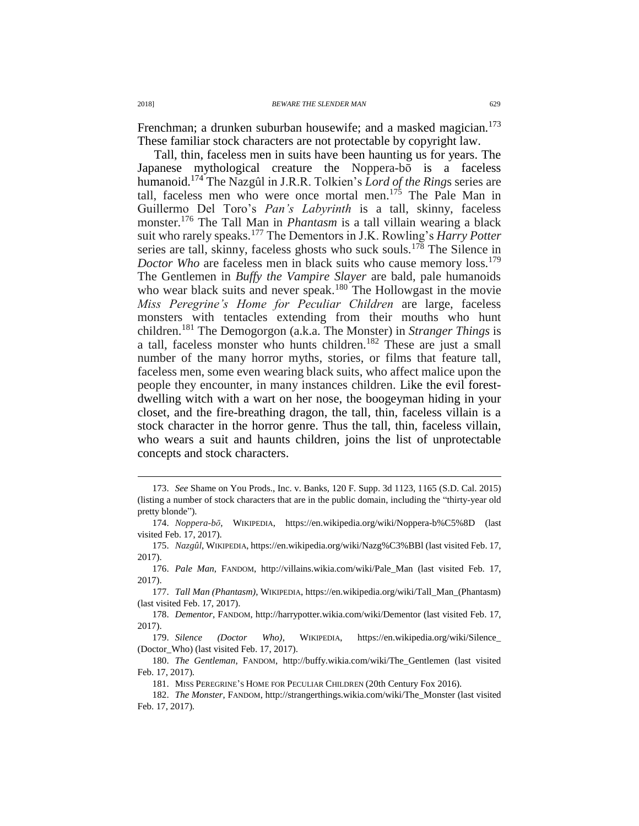Frenchman; a drunken suburban housewife; and a masked magician.<sup>173</sup> These familiar stock characters are not protectable by copyright law.

Tall, thin, faceless men in suits have been haunting us for years. The Japanese mythological creature the Noppera-bō is a faceless humanoid.<sup>174</sup> The Nazgûl in J.R.R. Tolkien's *Lord of the Ring*s series are tall, faceless men who were once mortal men.<sup>175</sup> The Pale Man in Guillermo Del Toro's *Pan's Labyrinth* is a tall, skinny, faceless monster.<sup>176</sup> The Tall Man in *Phantasm* is a tall villain wearing a black suit who rarely speaks.<sup>177</sup> The Dementors in J.K. Rowling's *Harry Potter* series are tall, skinny, faceless ghosts who suck souls.<sup>178</sup> The Silence in *Doctor Who* are faceless men in black suits who cause memory loss.<sup>179</sup> The Gentlemen in *Buffy the Vampire Slayer* are bald, pale humanoids who wear black suits and never speak.<sup>180</sup> The Hollowgast in the movie *Miss Peregrine's Home for Peculiar Children* are large, faceless monsters with tentacles extending from their mouths who hunt children.<sup>181</sup> The Demogorgon (a.k.a. The Monster) in *Stranger Things* is a tall, faceless monster who hunts children.<sup>182</sup> These are just a small number of the many horror myths, stories, or films that feature tall, faceless men, some even wearing black suits, who affect malice upon the people they encounter, in many instances children. Like the evil forestdwelling witch with a wart on her nose, the boogeyman hiding in your closet, and the fire-breathing dragon, the tall, thin, faceless villain is a stock character in the horror genre. Thus the tall, thin, faceless villain, who wears a suit and haunts children, joins the list of unprotectable concepts and stock characters.

- 173. *See* Shame on You Prods., Inc. v. Banks, 120 F. Supp. 3d 1123, 1165 (S.D. Cal. 2015) (listing a number of stock characters that are in the public domain, including the "thirty-year old pretty blonde").
- 174. *Noppera-bō*, WIKIPEDIA, https://en.wikipedia.org/wiki/Noppera-b%C5%8D (last visited Feb. 17, 2017).
- 175. *Nazgûl*, WIKIPEDIA, https://en.wikipedia.org/wiki/Nazg%C3%BBl (last visited Feb. 17, 2017).
- 176. *Pale Man*, FANDOM, http://villains.wikia.com/wiki/Pale\_Man (last visited Feb. 17, 2017).
- 177. *Tall Man (Phantasm)*, WIKIPEDIA, https://en.wikipedia.org/wiki/Tall\_Man\_(Phantasm) (last visited Feb. 17, 2017).
- 178. *Dementor*, FANDOM, http://harrypotter.wikia.com/wiki/Dementor (last visited Feb. 17, 2017).
- 179. *Silence (Doctor Who)*, WIKIPEDIA, https://en.wikipedia.org/wiki/Silence\_ (Doctor\_Who) (last visited Feb. 17, 2017).
- 180. *The Gentleman*, FANDOM, http://buffy.wikia.com/wiki/The\_Gentlemen (last visited Feb. 17, 2017).
	- 181. MISS PEREGRINE'S HOME FOR PECULIAR CHILDREN (20th Century Fox 2016).
- 182. *The Monster*, FANDOM, http://strangerthings.wikia.com/wiki/The\_Monster (last visited Feb. 17, 2017).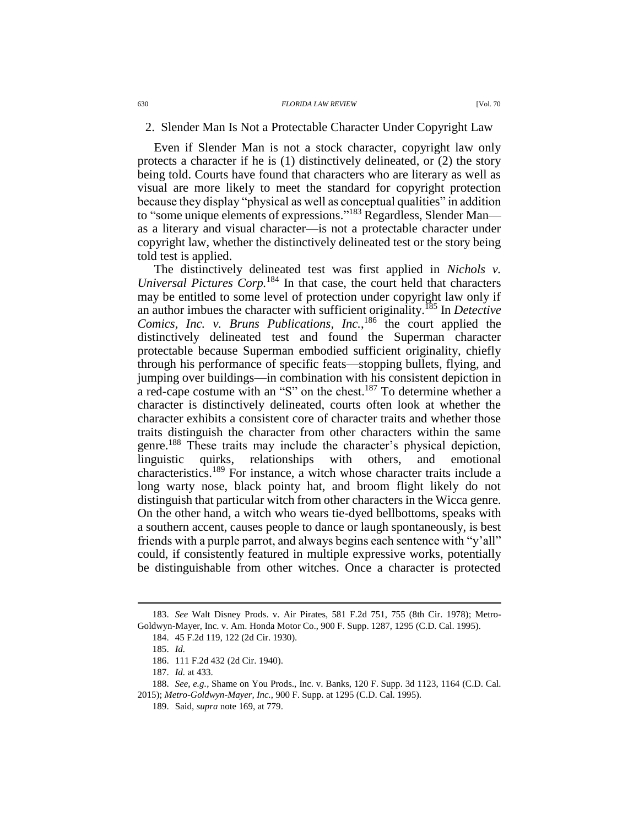#### 2. Slender Man Is Not a Protectable Character Under Copyright Law

Even if Slender Man is not a stock character, copyright law only protects a character if he is  $(1)$  distinctively delineated, or  $(2)$  the story being told. Courts have found that characters who are literary as well as visual are more likely to meet the standard for copyright protection because they display "physical as well as conceptual qualities" in addition to "some unique elements of expressions."<sup>183</sup> Regardless, Slender Man as a literary and visual character—is not a protectable character under copyright law, whether the distinctively delineated test or the story being told test is applied.

The distinctively delineated test was first applied in *Nichols v. Universal Pictures Corp.*<sup>184</sup> In that case, the court held that characters may be entitled to some level of protection under copyright law only if an author imbues the character with sufficient originality.<sup>185</sup> In *Detective*  Comics, Inc. v. Bruns Publications, Inc.,<sup>186</sup> the court applied the distinctively delineated test and found the Superman character protectable because Superman embodied sufficient originality, chiefly through his performance of specific feats—stopping bullets, flying, and jumping over buildings—in combination with his consistent depiction in a red-cape costume with an "S" on the chest.<sup>187</sup> To determine whether a character is distinctively delineated, courts often look at whether the character exhibits a consistent core of character traits and whether those traits distinguish the character from other characters within the same genre.<sup>188</sup> These traits may include the character's physical depiction, linguistic quirks, relationships with others, and emotional characteristics.<sup>189</sup> For instance, a witch whose character traits include a long warty nose, black pointy hat, and broom flight likely do not distinguish that particular witch from other characters in the Wicca genre. On the other hand, a witch who wears tie-dyed bellbottoms, speaks with a southern accent, causes people to dance or laugh spontaneously, is best friends with a purple parrot, and always begins each sentence with "y'all" could, if consistently featured in multiple expressive works, potentially be distinguishable from other witches. Once a character is protected

<sup>183.</sup> *See* Walt Disney Prods. v. Air Pirates, 581 F.2d 751, 755 (8th Cir. 1978); Metro-Goldwyn-Mayer, Inc. v. Am. Honda Motor Co., 900 F. Supp. 1287, 1295 (C.D. Cal. 1995).

<sup>184.</sup> 45 F.2d 119, 122 (2d Cir. 1930).

<sup>185.</sup> *Id.*

<sup>186.</sup> 111 F.2d 432 (2d Cir. 1940).

<sup>187.</sup> *Id.* at 433.

<sup>188.</sup> *See, e.g.*, Shame on You Prods., Inc. v. Banks, 120 F. Supp. 3d 1123, 1164 (C.D. Cal. 2015); *Metro-Goldwyn-Mayer, Inc.*, 900 F. Supp. at 1295 (C.D. Cal. 1995).

<sup>189.</sup> Said, *supra* note [169,](#page-27-0) at 779.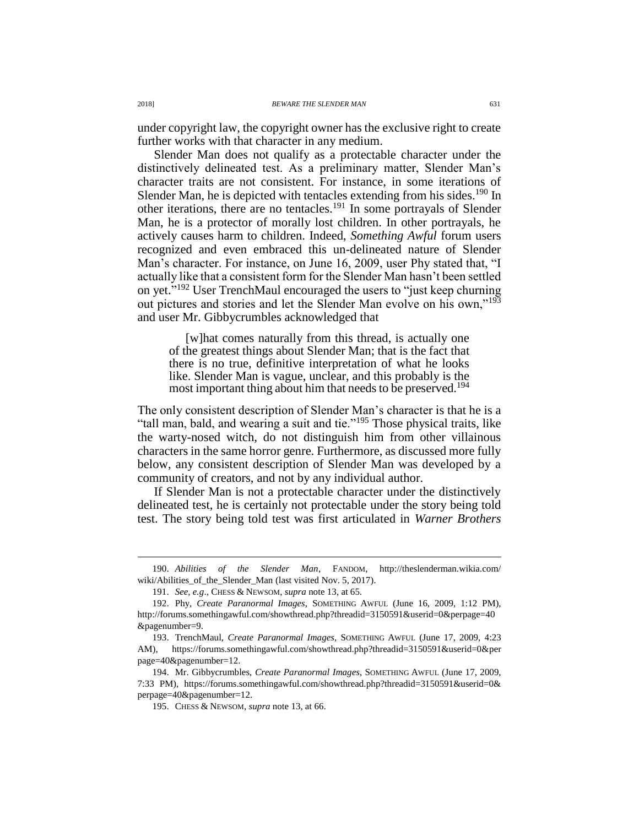under copyright law, the copyright owner has the exclusive right to create further works with that character in any medium.

Slender Man does not qualify as a protectable character under the distinctively delineated test. As a preliminary matter, Slender Man's character traits are not consistent. For instance, in some iterations of Slender Man, he is depicted with tentacles extending from his sides.<sup>190</sup> In other iterations, there are no tentacles.<sup>191</sup> In some portrayals of Slender Man, he is a protector of morally lost children. In other portrayals, he actively causes harm to children. Indeed, *Something Awful* forum users recognized and even embraced this un-delineated nature of Slender Man's character. For instance, on June 16, 2009, user Phy stated that, "I actually like that a consistent form for the Slender Man hasn't been settled on yet."<sup>192</sup> User TrenchMaul encouraged the users to "just keep churning out pictures and stories and let the Slender Man evolve on his own,"<sup>193</sup> and user Mr. Gibbycrumbles acknowledged that

[w]hat comes naturally from this thread, is actually one of the greatest things about Slender Man; that is the fact that there is no true, definitive interpretation of what he looks like. Slender Man is vague, unclear, and this probably is the most important thing about him that needs to be preserved.<sup>194</sup>

The only consistent description of Slender Man's character is that he is a "tall man, bald, and wearing a suit and tie."<sup>195</sup> Those physical traits, like the warty-nosed witch, do not distinguish him from other villainous characters in the same horror genre. Furthermore, as discussed more fully below, any consistent description of Slender Man was developed by a community of creators, and not by any individual author.

If Slender Man is not a protectable character under the distinctively delineated test, he is certainly not protectable under the story being told test. The story being told test was first articulated in *Warner Brothers* 

<sup>190.</sup> *Abilities of the Slender Man*, FANDOM, http://theslenderman.wikia.com/ wiki/Abilities\_of\_the\_Slender\_Man (last visited Nov. 5, 2017).

<sup>191.</sup> *See, e.g*., CHESS & NEWSOM, *supra* note [13,](#page-3-0) at 65.

<sup>192.</sup> Phy, *Create Paranormal Images*, SOMETHING AWFUL (June 16, 2009, 1:12 PM), http://forums.somethingawful.com/showthread.php?threadid=3150591&userid=0&perpage=40 &pagenumber=9.

<sup>193.</sup> TrenchMaul, *Create Paranormal Images*, SOMETHING AWFUL (June 17, 2009, 4:23 AM), https://forums.somethingawful.com/showthread.php?threadid=3150591&userid=0&per page=40&pagenumber=12.

<sup>194.</sup> Mr. Gibbycrumbles, *Create Paranormal Images*, SOMETHING AWFUL (June 17, 2009, 7:33 PM), https://forums.somethingawful.com/showthread.php?threadid=3150591&userid=0& perpage=40&pagenumber=12.

<sup>195.</sup> CHESS & NEWSOM, *supra* note [13,](#page-3-0) at 66.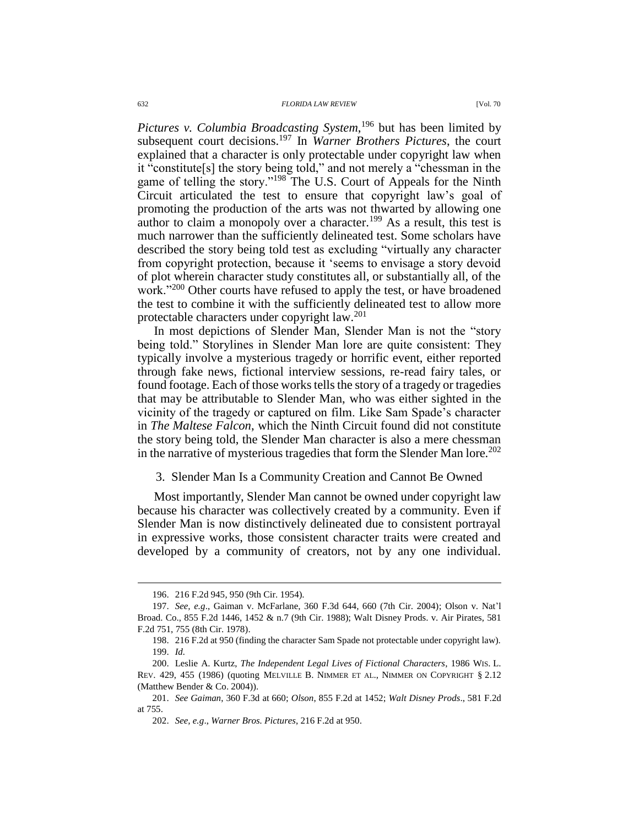*Pictures v. Columbia Broadcasting System*, <sup>196</sup> but has been limited by subsequent court decisions.<sup>197</sup> In *Warner Brothers Pictures*, the court explained that a character is only protectable under copyright law when it "constitute[s] the story being told," and not merely a "chessman in the game of telling the story."<sup>198</sup> The U.S. Court of Appeals for the Ninth Circuit articulated the test to ensure that copyright law's goal of promoting the production of the arts was not thwarted by allowing one author to claim a monopoly over a character.<sup>199</sup> As a result, this test is much narrower than the sufficiently delineated test. Some scholars have described the story being told test as excluding "virtually any character from copyright protection, because it 'seems to envisage a story devoid of plot wherein character study constitutes all, or substantially all, of the work."<sup>200</sup> Other courts have refused to apply the test, or have broadened the test to combine it with the sufficiently delineated test to allow more protectable characters under copyright law.<sup>201</sup>

In most depictions of Slender Man, Slender Man is not the "story being told." Storylines in Slender Man lore are quite consistent: They typically involve a mysterious tragedy or horrific event, either reported through fake news, fictional interview sessions, re-read fairy tales, or found footage. Each of those works tells the story of a tragedy or tragedies that may be attributable to Slender Man, who was either sighted in the vicinity of the tragedy or captured on film. Like Sam Spade's character in *The Maltese Falcon*, which the Ninth Circuit found did not constitute the story being told, the Slender Man character is also a mere chessman in the narrative of mysterious tragedies that form the Slender Man lore.<sup>202</sup>

#### 3. Slender Man Is a Community Creation and Cannot Be Owned

Most importantly, Slender Man cannot be owned under copyright law because his character was collectively created by a community. Even if Slender Man is now distinctively delineated due to consistent portrayal in expressive works, those consistent character traits were created and developed by a community of creators, not by any one individual.

<sup>196.</sup> 216 F.2d 945, 950 (9th Cir. 1954).

<sup>197.</sup> *See, e.g*., Gaiman v. McFarlane, 360 F.3d 644, 660 (7th Cir. 2004); Olson v. Nat'l Broad. Co., 855 F.2d 1446, 1452 & n.7 (9th Cir. 1988); Walt Disney Prods. v. Air Pirates, 581 F.2d 751, 755 (8th Cir. 1978).

<sup>198.</sup> 216 F.2d at 950 (finding the character Sam Spade not protectable under copyright law). 199. *Id.*

<sup>200.</sup> Leslie A. Kurtz, *The Independent Legal Lives of Fictional Characters*, 1986 WIS. L. REV. 429, 455 (1986) (quoting MELVILLE B. NIMMER ET AL., NIMMER ON COPYRIGHT § 2.12 (Matthew Bender & Co. 2004)).

<sup>201.</sup> *See Gaiman*, 360 F.3d at 660; *Olson*, 855 F.2d at 1452; *Walt Disney Prods*., 581 F.2d at 755.

<sup>202.</sup> *See, e.g*., *Warner Bros. Pictures*, 216 F.2d at 950.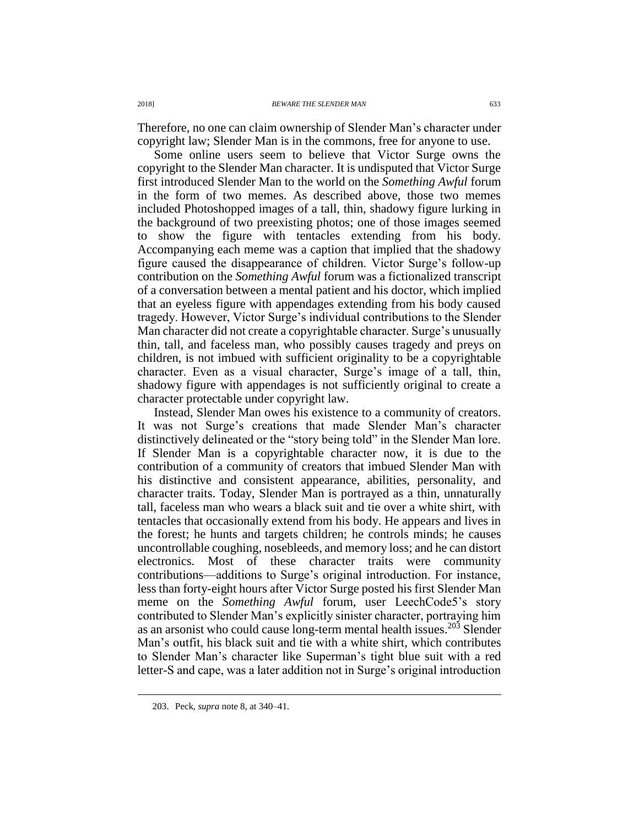Therefore, no one can claim ownership of Slender Man's character under copyright law; Slender Man is in the commons, free for anyone to use.

Some online users seem to believe that Victor Surge owns the copyright to the Slender Man character. It is undisputed that Victor Surge first introduced Slender Man to the world on the *Something Awful* forum in the form of two memes. As described above, those two memes included Photoshopped images of a tall, thin, shadowy figure lurking in the background of two preexisting photos; one of those images seemed to show the figure with tentacles extending from his body. Accompanying each meme was a caption that implied that the shadowy figure caused the disappearance of children. Victor Surge's follow-up contribution on the *Something Awful* forum was a fictionalized transcript of a conversation between a mental patient and his doctor, which implied that an eyeless figure with appendages extending from his body caused tragedy. However, Victor Surge's individual contributions to the Slender Man character did not create a copyrightable character. Surge's unusually thin, tall, and faceless man, who possibly causes tragedy and preys on children, is not imbued with sufficient originality to be a copyrightable character. Even as a visual character, Surge's image of a tall, thin, shadowy figure with appendages is not sufficiently original to create a character protectable under copyright law.

Instead, Slender Man owes his existence to a community of creators. It was not Surge's creations that made Slender Man's character distinctively delineated or the "story being told" in the Slender Man lore. If Slender Man is a copyrightable character now, it is due to the contribution of a community of creators that imbued Slender Man with his distinctive and consistent appearance, abilities, personality, and character traits. Today, Slender Man is portrayed as a thin, unnaturally tall, faceless man who wears a black suit and tie over a white shirt, with tentacles that occasionally extend from his body. He appears and lives in the forest; he hunts and targets children; he controls minds; he causes uncontrollable coughing, nosebleeds, and memory loss; and he can distort electronics. Most of these character traits were community contributions—additions to Surge's original introduction. For instance, less than forty-eight hours after Victor Surge posted his first Slender Man meme on the *Something Awful* forum, user LeechCode5's story contributed to Slender Man's explicitly sinister character, portraying him as an arsonist who could cause long-term mental health issues.<sup>203</sup> Slender Man's outfit, his black suit and tie with a white shirt, which contributes to Slender Man's character like Superman's tight blue suit with a red letter-S and cape, was a later addition not in Surge's original introduction

<sup>203.</sup> Peck, *supra* note [8,](#page-2-0) at 340–41.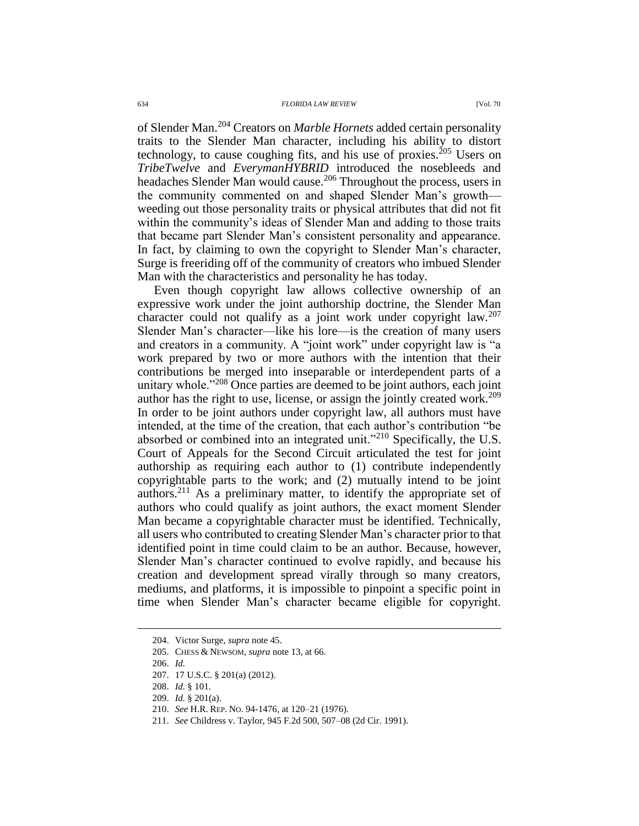of Slender Man.<sup>204</sup> Creators on *Marble Hornets* added certain personality traits to the Slender Man character, including his ability to distort technology, to cause coughing fits, and his use of proxies.<sup>205</sup> Users on *TribeTwelve* and *EverymanHYBRID* introduced the nosebleeds and headaches Slender Man would cause.<sup>206</sup> Throughout the process, users in the community commented on and shaped Slender Man's growth weeding out those personality traits or physical attributes that did not fit within the community's ideas of Slender Man and adding to those traits that became part Slender Man's consistent personality and appearance. In fact, by claiming to own the copyright to Slender Man's character, Surge is freeriding off of the community of creators who imbued Slender Man with the characteristics and personality he has today.

Even though copyright law allows collective ownership of an expressive work under the joint authorship doctrine, the Slender Man character could not qualify as a joint work under copyright law.<sup>207</sup> Slender Man's character—like his lore—is the creation of many users and creators in a community. A "joint work" under copyright law is "a work prepared by two or more authors with the intention that their contributions be merged into inseparable or interdependent parts of a unitary whole."<sup>208</sup> Once parties are deemed to be joint authors, each joint author has the right to use, license, or assign the jointly created work.<sup>209</sup> In order to be joint authors under copyright law, all authors must have intended, at the time of the creation, that each author's contribution "be absorbed or combined into an integrated unit."<sup>210</sup> Specifically, the U.S. Court of Appeals for the Second Circuit articulated the test for joint authorship as requiring each author to (1) contribute independently copyrightable parts to the work; and (2) mutually intend to be joint authors.<sup>211</sup> As a preliminary matter, to identify the appropriate set of authors who could qualify as joint authors, the exact moment Slender Man became a copyrightable character must be identified. Technically, all users who contributed to creating Slender Man's character prior to that identified point in time could claim to be an author. Because, however, Slender Man's character continued to evolve rapidly, and because his creation and development spread virally through so many creators, mediums, and platforms, it is impossible to pinpoint a specific point in time when Slender Man's character became eligible for copyright.

 $\overline{a}$ 

209. *Id.* § 201(a).

<sup>204.</sup> Victor Surge, *supra* note [45.](#page-9-0)

<sup>205.</sup> CHESS & NEWSOM, *supra* note [13,](#page-3-0) at 66.

<sup>206.</sup> *Id.*

<sup>207.</sup> 17 U.S.C. § 201(a) (2012).

<sup>208.</sup> *Id.* § 101.

<sup>210.</sup> *See* H.R. REP. NO. 94-1476, at 120–21 (1976).

<sup>211.</sup> *See* Childress v. Taylor, 945 F.2d 500, 507–08 (2d Cir. 1991).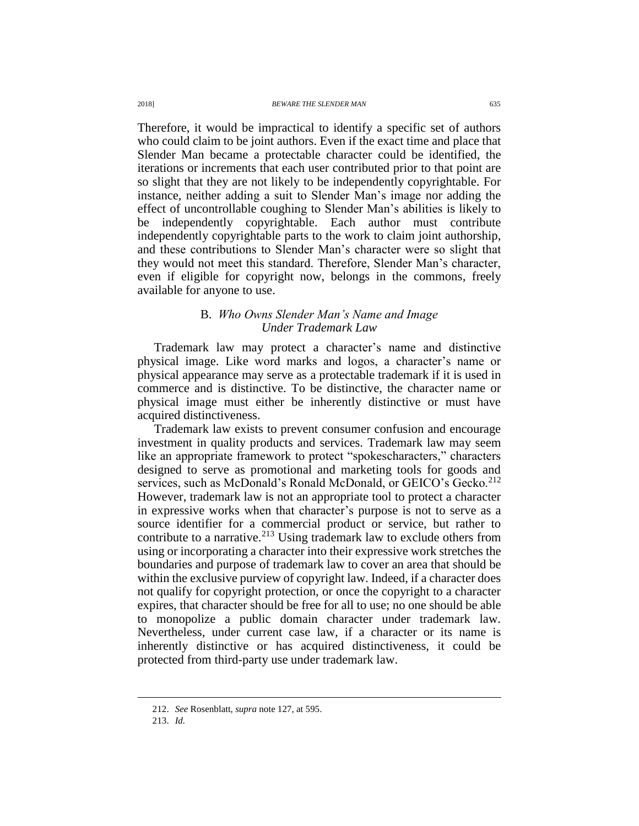Therefore, it would be impractical to identify a specific set of authors who could claim to be joint authors. Even if the exact time and place that Slender Man became a protectable character could be identified, the iterations or increments that each user contributed prior to that point are so slight that they are not likely to be independently copyrightable. For instance, neither adding a suit to Slender Man's image nor adding the effect of uncontrollable coughing to Slender Man's abilities is likely to be independently copyrightable. Each author must contribute independently copyrightable parts to the work to claim joint authorship, and these contributions to Slender Man's character were so slight that they would not meet this standard. Therefore, Slender Man's character, even if eligible for copyright now, belongs in the commons, freely available for anyone to use.

## B. *Who Owns Slender Man's Name and Image Under Trademark Law*

Trademark law may protect a character's name and distinctive physical image. Like word marks and logos, a character's name or physical appearance may serve as a protectable trademark if it is used in commerce and is distinctive. To be distinctive, the character name or physical image must either be inherently distinctive or must have acquired distinctiveness.

Trademark law exists to prevent consumer confusion and encourage investment in quality products and services. Trademark law may seem like an appropriate framework to protect "spokescharacters," characters designed to serve as promotional and marketing tools for goods and services, such as McDonald's Ronald McDonald, or GEICO's Gecko.<sup>212</sup> However, trademark law is not an appropriate tool to protect a character in expressive works when that character's purpose is not to serve as a source identifier for a commercial product or service, but rather to contribute to a narrative.<sup>213</sup> Using trademark law to exclude others from using or incorporating a character into their expressive work stretches the boundaries and purpose of trademark law to cover an area that should be within the exclusive purview of copyright law. Indeed, if a character does not qualify for copyright protection, or once the copyright to a character expires, that character should be free for all to use; no one should be able to monopolize a public domain character under trademark law. Nevertheless, under current case law, if a character or its name is inherently distinctive or has acquired distinctiveness, it could be protected from third-party use under trademark law.

<sup>212.</sup> *See* Rosenblatt, *supra* note [127,](#page-20-0) at 595.

<sup>213.</sup> *Id.*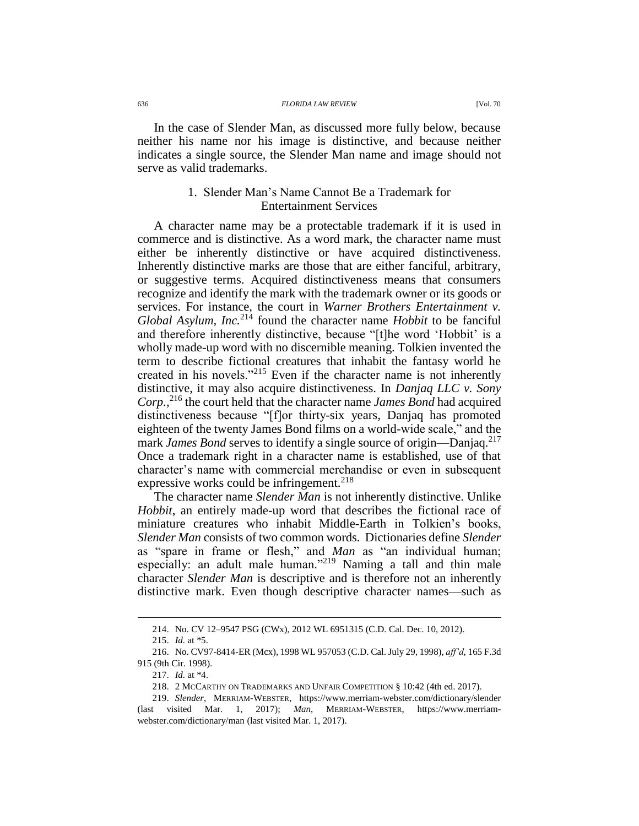In the case of Slender Man, as discussed more fully below, because neither his name nor his image is distinctive, and because neither indicates a single source, the Slender Man name and image should not serve as valid trademarks.

## 1. Slender Man's Name Cannot Be a Trademark for Entertainment Services

A character name may be a protectable trademark if it is used in commerce and is distinctive. As a word mark, the character name must either be inherently distinctive or have acquired distinctiveness. Inherently distinctive marks are those that are either fanciful, arbitrary, or suggestive terms. Acquired distinctiveness means that consumers recognize and identify the mark with the trademark owner or its goods or services. For instance, the court in *Warner Brothers Entertainment v. Global Asylum, Inc.*<sup>214</sup> found the character name *Hobbit* to be fanciful and therefore inherently distinctive, because "[t]he word 'Hobbit' is a wholly made-up word with no discernible meaning. Tolkien invented the term to describe fictional creatures that inhabit the fantasy world he created in his novels."<sup>215</sup> Even if the character name is not inherently distinctive, it may also acquire distinctiveness. In *Danjaq LLC v. Sony Corp.*, <sup>216</sup> the court held that the character name *James Bond* had acquired distinctiveness because "[f]or thirty-six years, Danjaq has promoted eighteen of the twenty James Bond films on a world-wide scale," and the mark *James Bond* serves to identify a single source of origin—Danjag.<sup>217</sup> Once a trademark right in a character name is established, use of that character's name with commercial merchandise or even in subsequent expressive works could be infringement.<sup>218</sup>

The character name *Slender Man* is not inherently distinctive. Unlike *Hobbit*, an entirely made-up word that describes the fictional race of miniature creatures who inhabit Middle-Earth in Tolkien's books, *Slender Man* consists of two common words. Dictionaries define *Slender* as "spare in frame or flesh," and *Man* as "an individual human; especially: an adult male human."<sup>219</sup> Naming a tall and thin male character *Slender Man* is descriptive and is therefore not an inherently distinctive mark. Even though descriptive character names—such as

<sup>214.</sup> No. CV 12–9547 PSG (CWx), 2012 WL 6951315 (C.D. Cal. Dec. 10, 2012).

<sup>215.</sup> *Id.* at \*5.

<sup>216.</sup> No. CV97-8414-ER (Mcx), 1998 WL 957053 (C.D. Cal. July 29, 1998), *aff'd*, 165 F.3d 915 (9th Cir. 1998).

<sup>217.</sup> *Id.* at \*4.

<sup>218.</sup> 2 MCCARTHY ON TRADEMARKS AND UNFAIR COMPETITION § 10:42 (4th ed. 2017).

<sup>219.</sup> *Slender*, MERRIAM-WEBSTER, https://www.merriam-webster.com/dictionary/slender (last visited Mar. 1, 2017); *Man*, MERRIAM-WEBSTER, https://www.merriamwebster.com/dictionary/man (last visited Mar. 1, 2017).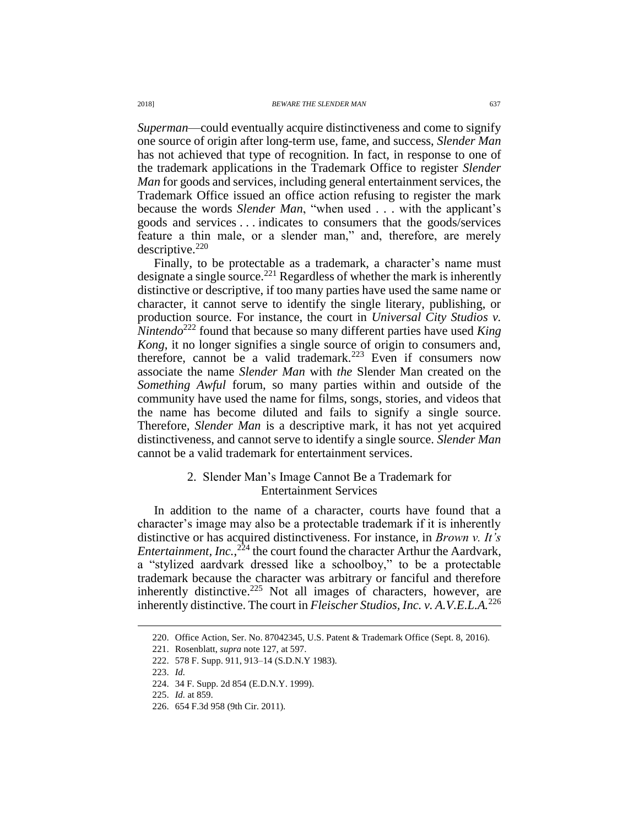*Superman*—could eventually acquire distinctiveness and come to signify one source of origin after long-term use, fame, and success, *Slender Man* has not achieved that type of recognition. In fact, in response to one of the trademark applications in the Trademark Office to register *Slender Man* for goods and services, including general entertainment services, the Trademark Office issued an office action refusing to register the mark because the words *Slender Man*, "when used . . . with the applicant's goods and services . . . indicates to consumers that the goods/services feature a thin male, or a slender man," and, therefore, are merely descriptive.<sup>220</sup>

Finally, to be protectable as a trademark, a character's name must designate a single source.<sup>221</sup> Regardless of whether the mark is inherently distinctive or descriptive, if too many parties have used the same name or character, it cannot serve to identify the single literary, publishing, or production source. For instance, the court in *Universal City Studios v. Nintendo*<sup>222</sup> found that because so many different parties have used *King Kong*, it no longer signifies a single source of origin to consumers and, therefore, cannot be a valid trademark.<sup>223</sup> Even if consumers now associate the name *Slender Man* with *the* Slender Man created on the *Something Awful* forum, so many parties within and outside of the community have used the name for films, songs, stories, and videos that the name has become diluted and fails to signify a single source. Therefore*, Slender Man* is a descriptive mark, it has not yet acquired distinctiveness, and cannot serve to identify a single source. *Slender Man* cannot be a valid trademark for entertainment services.

## 2. Slender Man's Image Cannot Be a Trademark for Entertainment Services

In addition to the name of a character, courts have found that a character's image may also be a protectable trademark if it is inherently distinctive or has acquired distinctiveness. For instance, in *Brown v. It's Entertainment, Inc.*,<sup>224</sup> the court found the character Arthur the Aardvark, a "stylized aardvark dressed like a schoolboy," to be a protectable trademark because the character was arbitrary or fanciful and therefore inherently distinctive.<sup>225</sup> Not all images of characters, however, are inherently distinctive. The court in *Fleischer Studios, Inc. v. A.V.E.L.A.*<sup>226</sup>

<sup>220.</sup> Office Action, Ser. No. 87042345, U.S. Patent & Trademark Office (Sept. 8, 2016).

<sup>221.</sup> Rosenblatt, *supra* not[e 127,](#page-20-0) at 597.

<sup>222.</sup> 578 F. Supp. 911, 913–14 (S.D.N.Y 1983).

<sup>223.</sup> *Id.*

<sup>224.</sup> 34 F. Supp. 2d 854 (E.D.N.Y. 1999).

<sup>225.</sup> *Id.* at 859.

<sup>226.</sup> 654 F.3d 958 (9th Cir. 2011).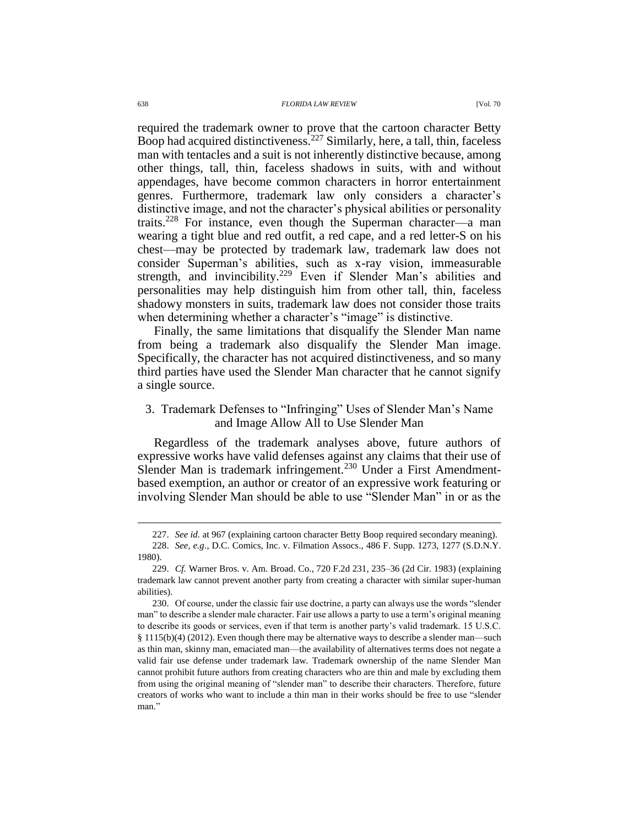required the trademark owner to prove that the cartoon character Betty Boop had acquired distinctiveness.<sup>227</sup> Similarly, here, a tall, thin, faceless man with tentacles and a suit is not inherently distinctive because, among other things, tall, thin, faceless shadows in suits, with and without appendages, have become common characters in horror entertainment genres. Furthermore, trademark law only considers a character's distinctive image, and not the character's physical abilities or personality traits.<sup>228</sup> For instance, even though the Superman character—a man wearing a tight blue and red outfit, a red cape, and a red letter-S on his chest—may be protected by trademark law, trademark law does not consider Superman's abilities, such as x-ray vision, immeasurable strength, and invincibility.<sup>229</sup> Even if Slender Man's abilities and personalities may help distinguish him from other tall, thin, faceless shadowy monsters in suits, trademark law does not consider those traits when determining whether a character's "image" is distinctive.

Finally, the same limitations that disqualify the Slender Man name from being a trademark also disqualify the Slender Man image. Specifically, the character has not acquired distinctiveness, and so many third parties have used the Slender Man character that he cannot signify a single source.

# 3. Trademark Defenses to "Infringing" Uses of Slender Man's Name and Image Allow All to Use Slender Man

Regardless of the trademark analyses above, future authors of expressive works have valid defenses against any claims that their use of Slender Man is trademark infringement.<sup>230</sup> Under a First Amendmentbased exemption, an author or creator of an expressive work featuring or involving Slender Man should be able to use "Slender Man" in or as the

<sup>227.</sup> *See id.* at 967 (explaining cartoon character Betty Boop required secondary meaning).

<sup>228.</sup> *See, e.g*., D.C. Comics, Inc. v. Filmation Assocs., 486 F. Supp. 1273, 1277 (S.D.N.Y. 1980).

<sup>229.</sup> *Cf.* Warner Bros. v. Am. Broad. Co., 720 F.2d 231, 235–36 (2d Cir. 1983) (explaining trademark law cannot prevent another party from creating a character with similar super-human abilities).

<sup>230.</sup> Of course, under the classic fair use doctrine, a party can always use the words "slender man" to describe a slender male character. Fair use allows a party to use a term's original meaning to describe its goods or services, even if that term is another party's valid trademark. 15 U.S.C.  $§$  1115(b)(4) (2012). Even though there may be alternative ways to describe a slender man—such as thin man, skinny man, emaciated man—the availability of alternatives terms does not negate a valid fair use defense under trademark law. Trademark ownership of the name Slender Man cannot prohibit future authors from creating characters who are thin and male by excluding them from using the original meaning of "slender man" to describe their characters. Therefore, future creators of works who want to include a thin man in their works should be free to use "slender man."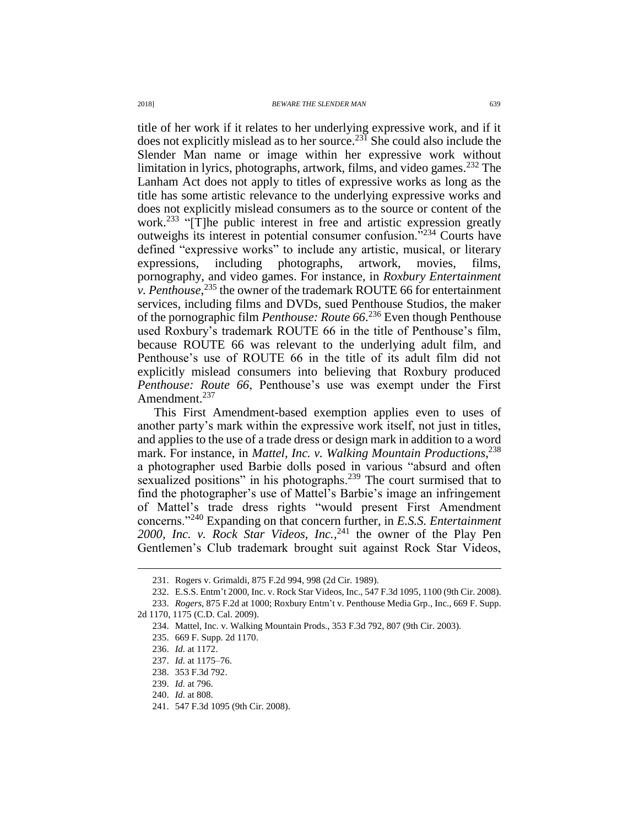title of her work if it relates to her underlying expressive work, and if it does not explicitly mislead as to her source. <sup>231</sup> She could also include the Slender Man name or image within her expressive work without limitation in lyrics, photographs, artwork, films, and video games.<sup>232</sup> The Lanham Act does not apply to titles of expressive works as long as the title has some artistic relevance to the underlying expressive works and does not explicitly mislead consumers as to the source or content of the work.<sup>233</sup> "[T]he public interest in free and artistic expression greatly outweighs its interest in potential consumer confusion."<sup>234</sup> Courts have defined "expressive works" to include any artistic, musical, or literary expressions, including photographs, artwork, movies, films, pornography, and video games. For instance, in *Roxbury Entertainment v. Penthouse*, <sup>235</sup> the owner of the trademark ROUTE 66 for entertainment services, including films and DVDs, sued Penthouse Studios, the maker of the pornographic film *Penthouse: Route 66*. <sup>236</sup> Even though Penthouse used Roxbury's trademark ROUTE 66 in the title of Penthouse's film, because ROUTE 66 was relevant to the underlying adult film, and Penthouse's use of ROUTE 66 in the title of its adult film did not explicitly mislead consumers into believing that Roxbury produced *Penthouse: Route 66*, Penthouse's use was exempt under the First Amendment.<sup>237</sup>

This First Amendment-based exemption applies even to uses of another party's mark within the expressive work itself, not just in titles, and applies to the use of a trade dress or design mark in addition to a word mark. For instance, in *Mattel, Inc. v. Walking Mountain Productions*, 238 a photographer used Barbie dolls posed in various "absurd and often sexualized positions" in his photographs.<sup>239</sup> The court surmised that to find the photographer's use of Mattel's Barbie's image an infringement of Mattel's trade dress rights "would present First Amendment concerns."<sup>240</sup> Expanding on that concern further, in *E.S.S. Entertainment*  2000, Inc. v. Rock Star Videos, Inc.,<sup>241</sup> the owner of the Play Pen Gentlemen's Club trademark brought suit against Rock Star Videos,

<sup>231.</sup> Rogers v. Grimaldi, 875 F.2d 994, 998 (2d Cir. 1989).

<sup>232.</sup> E.S.S. Entm't 2000, Inc. v. Rock Star Videos, Inc., 547 F.3d 1095, 1100 (9th Cir. 2008).

<sup>233.</sup> *Rogers*, 875 F.2d at 1000; Roxbury Entm't v. Penthouse Media Grp., Inc., 669 F. Supp. 2d 1170, 1175 (C.D. Cal. 2009).

<sup>234.</sup> Mattel, Inc. v. Walking Mountain Prods., 353 F.3d 792, 807 (9th Cir. 2003).

<sup>235.</sup> 669 F. Supp. 2d 1170.

<sup>236.</sup> *Id.* at 1172.

<sup>237.</sup> *Id.* at 1175–76.

<sup>238.</sup> 353 F.3d 792.

<sup>239.</sup> *Id.* at 796.

<sup>240.</sup> *Id.* at 808.

<sup>241.</sup> 547 F.3d 1095 (9th Cir. 2008).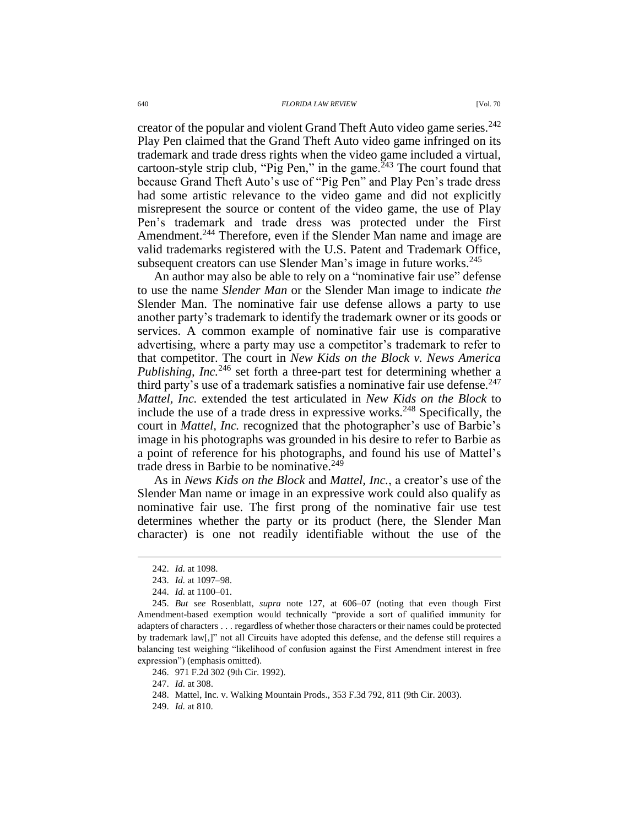creator of the popular and violent Grand Theft Auto video game series.<sup>242</sup> Play Pen claimed that the Grand Theft Auto video game infringed on its trademark and trade dress rights when the video game included a virtual, cartoon-style strip club, "Pig Pen," in the game.<sup> $243$ </sup> The court found that because Grand Theft Auto's use of "Pig Pen" and Play Pen's trade dress had some artistic relevance to the video game and did not explicitly misrepresent the source or content of the video game, the use of Play Pen's trademark and trade dress was protected under the First Amendment.<sup>244</sup> Therefore, even if the Slender Man name and image are valid trademarks registered with the U.S. Patent and Trademark Office, subsequent creators can use Slender Man's image in future works.<sup>245</sup>

An author may also be able to rely on a "nominative fair use" defense to use the name *Slender Man* or the Slender Man image to indicate *the* Slender Man. The nominative fair use defense allows a party to use another party's trademark to identify the trademark owner or its goods or services. A common example of nominative fair use is comparative advertising, where a party may use a competitor's trademark to refer to that competitor. The court in *New Kids on the Block v. News America Publishing, Inc.*<sup>246</sup> set forth a three-part test for determining whether a third party's use of a trademark satisfies a nominative fair use defense.  $247$ *Mattel, Inc.* extended the test articulated in *New Kids on the Block* to include the use of a trade dress in expressive works.<sup>248</sup> Specifically, the court in *Mattel, Inc.* recognized that the photographer's use of Barbie's image in his photographs was grounded in his desire to refer to Barbie as a point of reference for his photographs, and found his use of Mattel's trade dress in Barbie to be nominative.<sup>249</sup>

As in *News Kids on the Block* and *Mattel, Inc.*, a creator's use of the Slender Man name or image in an expressive work could also qualify as nominative fair use. The first prong of the nominative fair use test determines whether the party or its product (here, the Slender Man character) is one not readily identifiable without the use of the

 $\overline{a}$ 

247. *Id.* at 308.

249. *Id.* at 810.

<sup>242.</sup> *Id.* at 1098.

<sup>243.</sup> *Id.* at 1097–98.

<sup>244.</sup> *Id.* at 1100–01.

<sup>245.</sup> *But see* Rosenblatt, *supra* note [127,](#page-20-0) at 606–07 (noting that even though First Amendment-based exemption would technically "provide a sort of qualified immunity for adapters of characters . . . regardless of whether those characters or their names could be protected by trademark law[,]" not all Circuits have adopted this defense, and the defense still requires a balancing test weighing "likelihood of confusion against the First Amendment interest in free expression") (emphasis omitted).

<sup>246.</sup> 971 F.2d 302 (9th Cir. 1992).

<sup>248.</sup> Mattel, Inc. v. Walking Mountain Prods., 353 F.3d 792, 811 (9th Cir. 2003).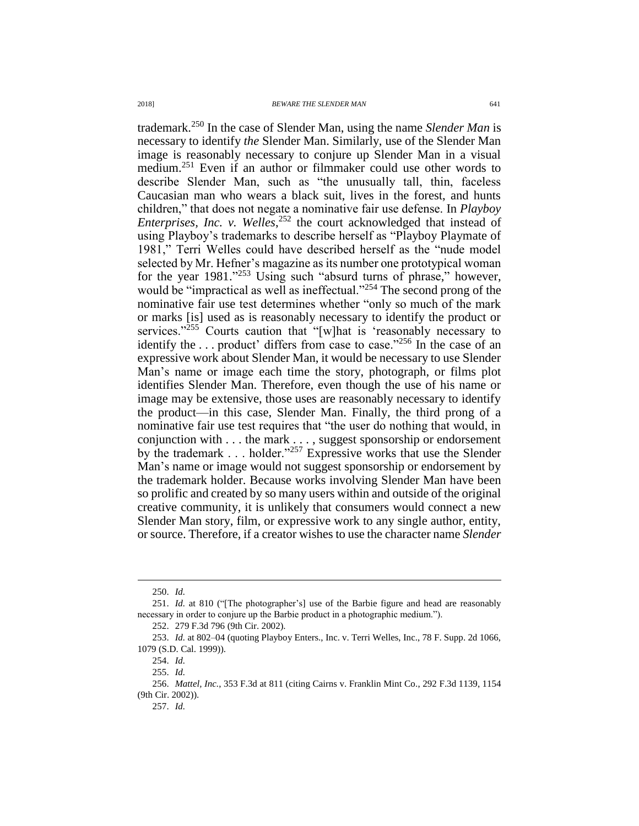trademark.<sup>250</sup> In the case of Slender Man, using the name *Slender Man* is necessary to identify *the* Slender Man. Similarly, use of the Slender Man image is reasonably necessary to conjure up Slender Man in a visual medium.<sup>251</sup> Even if an author or filmmaker could use other words to describe Slender Man, such as "the unusually tall, thin, faceless Caucasian man who wears a black suit, lives in the forest, and hunts children," that does not negate a nominative fair use defense. In *Playboy Enterprises, Inc. v. Welles*, <sup>252</sup> the court acknowledged that instead of using Playboy's trademarks to describe herself as "Playboy Playmate of 1981," Terri Welles could have described herself as the "nude model selected by Mr. Hefner's magazine as its number one prototypical woman for the year 1981."<sup>253</sup> Using such "absurd turns of phrase," however, would be "impractical as well as ineffectual."<sup>254</sup> The second prong of the nominative fair use test determines whether "only so much of the mark or marks [is] used as is reasonably necessary to identify the product or services."<sup>255</sup> Courts caution that "[w]hat is 'reasonably necessary to identify the ... product' differs from case to case."<sup>256</sup> In the case of an expressive work about Slender Man, it would be necessary to use Slender Man's name or image each time the story, photograph, or films plot identifies Slender Man. Therefore, even though the use of his name or image may be extensive, those uses are reasonably necessary to identify the product—in this case, Slender Man. Finally, the third prong of a nominative fair use test requires that "the user do nothing that would, in conjunction with . . . the mark . . . , suggest sponsorship or endorsement by the trademark . . . holder."<sup>257</sup> Expressive works that use the Slender Man's name or image would not suggest sponsorship or endorsement by the trademark holder. Because works involving Slender Man have been so prolific and created by so many users within and outside of the original creative community, it is unlikely that consumers would connect a new Slender Man story, film, or expressive work to any single author, entity, or source. Therefore, if a creator wishes to use the character name *Slender* 

<sup>250.</sup> *Id.*

<sup>251.</sup> *Id.* at 810 ("[The photographer's] use of the Barbie figure and head are reasonably necessary in order to conjure up the Barbie product in a photographic medium.").

<sup>252.</sup> 279 F.3d 796 (9th Cir. 2002).

<sup>253.</sup> *Id.* at 802–04 (quoting Playboy Enters., Inc. v. Terri Welles, Inc., 78 F. Supp. 2d 1066, 1079 (S.D. Cal. 1999)).

<sup>254.</sup> *Id.*

<sup>255.</sup> *Id.*

<sup>256.</sup> *Mattel, Inc.*, 353 F.3d at 811 (citing Cairns v. Franklin Mint Co., 292 F.3d 1139, 1154 (9th Cir. 2002)).

<sup>257.</sup> *Id.*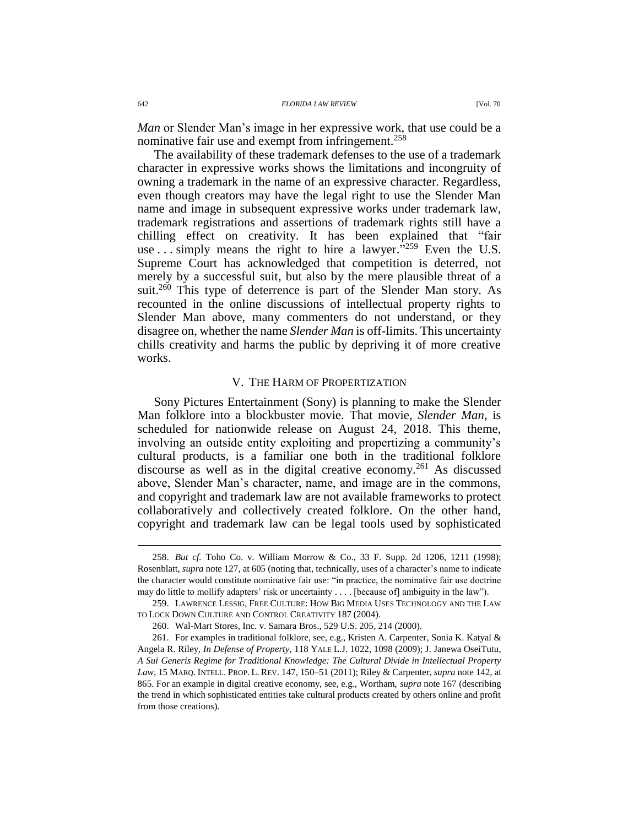*Man* or Slender Man's image in her expressive work, that use could be a nominative fair use and exempt from infringement.<sup>258</sup>

The availability of these trademark defenses to the use of a trademark character in expressive works shows the limitations and incongruity of owning a trademark in the name of an expressive character. Regardless, even though creators may have the legal right to use the Slender Man name and image in subsequent expressive works under trademark law, trademark registrations and assertions of trademark rights still have a chilling effect on creativity. It has been explained that "fair use . . . simply means the right to hire a lawyer.<sup>5259</sup> Even the U.S. Supreme Court has acknowledged that competition is deterred, not merely by a successful suit, but also by the mere plausible threat of a suit.<sup>260</sup> This type of deterrence is part of the Slender Man story. As recounted in the online discussions of intellectual property rights to Slender Man above, many commenters do not understand, or they disagree on, whether the name *Slender Man* is off-limits. This uncertainty chills creativity and harms the public by depriving it of more creative works.

#### V. THE HARM OF PROPERTIZATION

Sony Pictures Entertainment (Sony) is planning to make the Slender Man folklore into a blockbuster movie. That movie, *Slender Man*, is scheduled for nationwide release on August 24, 2018. This theme, involving an outside entity exploiting and propertizing a community's cultural products, is a familiar one both in the traditional folklore discourse as well as in the digital creative economy.<sup>261</sup> As discussed above, Slender Man's character, name, and image are in the commons, and copyright and trademark law are not available frameworks to protect collaboratively and collectively created folklore. On the other hand, copyright and trademark law can be legal tools used by sophisticated

<sup>258.</sup> *But cf.* Toho Co. v. William Morrow & Co., 33 F. Supp. 2d 1206, 1211 (1998); Rosenblatt, *supra* not[e 127,](#page-20-0) at 605 (noting that, technically, uses of a character's name to indicate the character would constitute nominative fair use: "in practice, the nominative fair use doctrine may do little to mollify adapters' risk or uncertainty . . . . [because of] ambiguity in the law").

<sup>259.</sup> LAWRENCE LESSIG, FREE CULTURE: HOW BIG MEDIA USES TECHNOLOGY AND THE LAW TO LOCK DOWN CULTURE AND CONTROL CREATIVITY 187 (2004).

<sup>260.</sup> Wal-Mart Stores, Inc. v. Samara Bros., 529 U.S. 205, 214 (2000).

<sup>261.</sup> For examples in traditional folklore, see, e.g., Kristen A. Carpenter, Sonia K. Katyal & Angela R. Riley, *In Defense of Property*, 118 YALE L.J. 1022, 1098 (2009); J. Janewa OseiTutu, *A Sui Generis Regime for Traditional Knowledge: The Cultural Divide in Intellectual Property Law*, 15 MARQ. INTELL. PROP. L. REV. 147, 150–51 (2011); Riley & Carpenter, *supra* not[e 142,](#page-22-1) at 865. For an example in digital creative economy, see, e.g., Wortham, *supra* note [167](#page-26-0) (describing the trend in which sophisticated entities take cultural products created by others online and profit from those creations).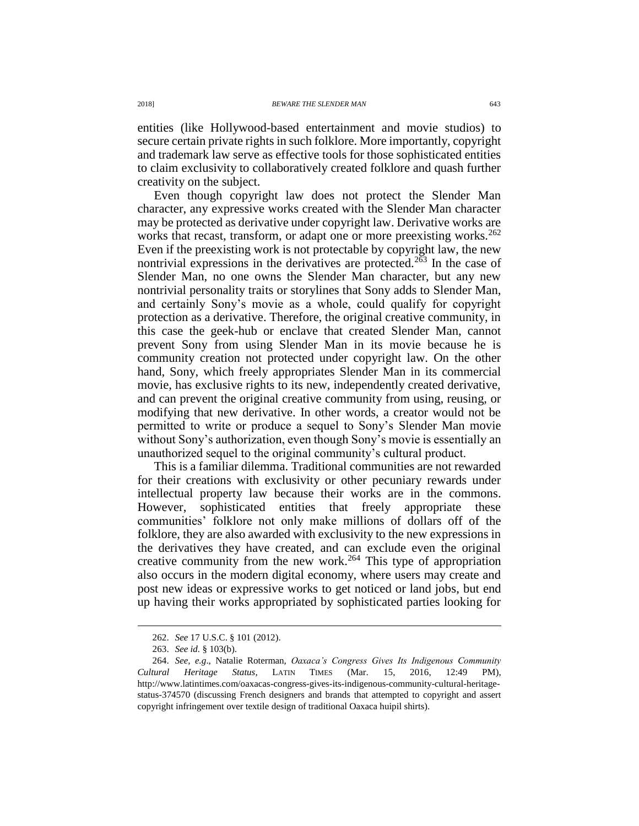entities (like Hollywood-based entertainment and movie studios) to secure certain private rights in such folklore. More importantly, copyright and trademark law serve as effective tools for those sophisticated entities to claim exclusivity to collaboratively created folklore and quash further creativity on the subject.

Even though copyright law does not protect the Slender Man character, any expressive works created with the Slender Man character may be protected as derivative under copyright law. Derivative works are works that recast, transform, or adapt one or more preexisting works.<sup>262</sup> Even if the preexisting work is not protectable by copyright law, the new nontrivial expressions in the derivatives are protected.<sup>263</sup> In the case of Slender Man, no one owns the Slender Man character, but any new nontrivial personality traits or storylines that Sony adds to Slender Man, and certainly Sony's movie as a whole, could qualify for copyright protection as a derivative. Therefore, the original creative community, in this case the geek-hub or enclave that created Slender Man, cannot prevent Sony from using Slender Man in its movie because he is community creation not protected under copyright law. On the other hand, Sony, which freely appropriates Slender Man in its commercial movie, has exclusive rights to its new, independently created derivative, and can prevent the original creative community from using, reusing, or modifying that new derivative. In other words, a creator would not be permitted to write or produce a sequel to Sony's Slender Man movie without Sony's authorization, even though Sony's movie is essentially an unauthorized sequel to the original community's cultural product.

This is a familiar dilemma. Traditional communities are not rewarded for their creations with exclusivity or other pecuniary rewards under intellectual property law because their works are in the commons. However, sophisticated entities that freely appropriate these communities' folklore not only make millions of dollars off of the folklore, they are also awarded with exclusivity to the new expressions in the derivatives they have created, and can exclude even the original creative community from the new work.<sup>264</sup> This type of appropriation also occurs in the modern digital economy, where users may create and post new ideas or expressive works to get noticed or land jobs, but end up having their works appropriated by sophisticated parties looking for

<sup>262.</sup> *See* 17 U.S.C. § 101 (2012).

<sup>263.</sup> *See id.* § 103(b).

<sup>264.</sup> *See, e.g*., Natalie Roterman, *Oaxaca's Congress Gives Its Indigenous Community Cultural Heritage Status*, LATIN TIMES (Mar. 15, 2016, 12:49 PM), http://www.latintimes.com/oaxacas-congress-gives-its-indigenous-community-cultural-heritagestatus-374570 (discussing French designers and brands that attempted to copyright and assert copyright infringement over textile design of traditional Oaxaca huipil shirts).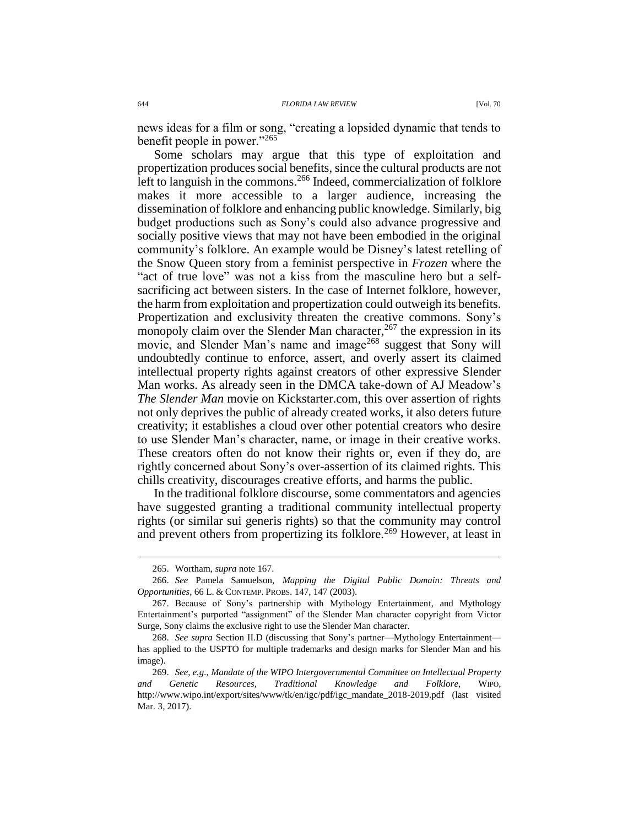news ideas for a film or song, "creating a lopsided dynamic that tends to benefit people in power."<sup>265</sup>

Some scholars may argue that this type of exploitation and propertization produces social benefits, since the cultural products are not left to languish in the commons.<sup>266</sup> Indeed, commercialization of folklore makes it more accessible to a larger audience, increasing the dissemination of folklore and enhancing public knowledge. Similarly, big budget productions such as Sony's could also advance progressive and socially positive views that may not have been embodied in the original community's folklore. An example would be Disney's latest retelling of the Snow Queen story from a feminist perspective in *Frozen* where the "act of true love" was not a kiss from the masculine hero but a selfsacrificing act between sisters. In the case of Internet folklore, however, the harm from exploitation and propertization could outweigh its benefits. Propertization and exclusivity threaten the creative commons. Sony's monopoly claim over the Slender Man character,  $267$  the expression in its movie, and Slender Man's name and image<sup>268</sup> suggest that Sony will undoubtedly continue to enforce, assert, and overly assert its claimed intellectual property rights against creators of other expressive Slender Man works. As already seen in the DMCA take-down of AJ Meadow's *The Slender Man* movie on Kickstarter.com, this over assertion of rights not only deprives the public of already created works, it also deters future creativity; it establishes a cloud over other potential creators who desire to use Slender Man's character, name, or image in their creative works. These creators often do not know their rights or, even if they do, are rightly concerned about Sony's over-assertion of its claimed rights. This chills creativity, discourages creative efforts, and harms the public.

In the traditional folklore discourse, some commentators and agencies have suggested granting a traditional community intellectual property rights (or similar sui generis rights) so that the community may control and prevent others from propertizing its folklore.<sup>269</sup> However, at least in

<sup>265.</sup> Wortham, *supra* note [167.](#page-26-0)

<sup>266.</sup> *See* Pamela Samuelson, *Mapping the Digital Public Domain: Threats and Opportunities*, 66 L. & CONTEMP. PROBS. 147, 147 (2003).

<sup>267.</sup> Because of Sony's partnership with Mythology Entertainment, and Mythology Entertainment's purported "assignment" of the Slender Man character copyright from Victor Surge, Sony claims the exclusive right to use the Slender Man character.

<sup>268.</sup> *See supra* Section II.D (discussing that Sony's partner—Mythology Entertainment has applied to the USPTO for multiple trademarks and design marks for Slender Man and his image).

<sup>269.</sup> *See, e.g.*, *Mandate of the WIPO Intergovernmental Committee on Intellectual Property and Genetic Resources, Traditional Knowledge and Folklore*, WIPO, http://www.wipo.int/export/sites/www/tk/en/igc/pdf/igc\_mandate\_2018-2019.pdf (last visited Mar. 3, 2017).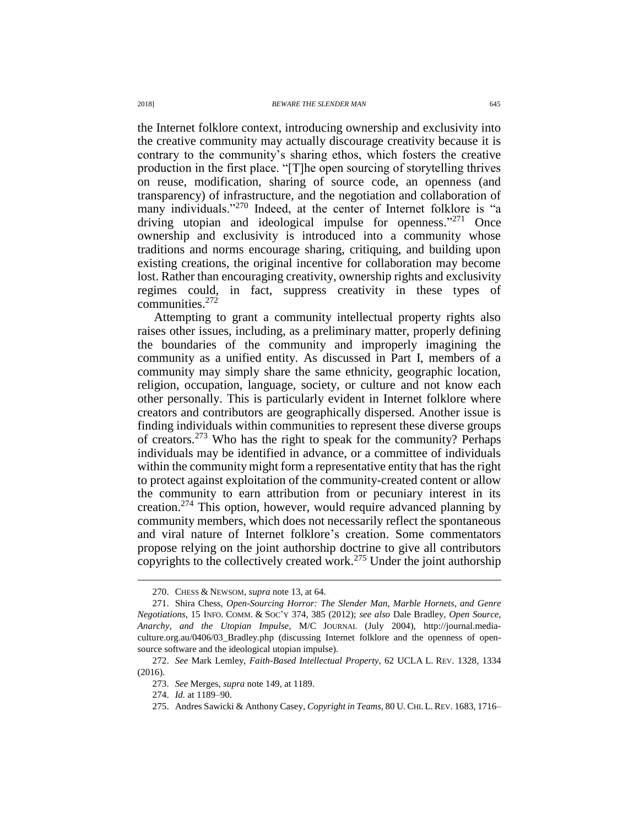the Internet folklore context, introducing ownership and exclusivity into the creative community may actually discourage creativity because it is contrary to the community's sharing ethos, which fosters the creative production in the first place. "[T]he open sourcing of storytelling thrives on reuse, modification, sharing of source code, an openness (and transparency) of infrastructure, and the negotiation and collaboration of many individuals."<sup>270</sup> Indeed, at the center of Internet folklore is "a driving utopian and ideological impulse for openness."<sup>271</sup> Once ownership and exclusivity is introduced into a community whose traditions and norms encourage sharing, critiquing, and building upon existing creations, the original incentive for collaboration may become lost. Rather than encouraging creativity, ownership rights and exclusivity regimes could, in fact, suppress creativity in these types of communities. 272

Attempting to grant a community intellectual property rights also raises other issues, including, as a preliminary matter, properly defining the boundaries of the community and improperly imagining the community as a unified entity. As discussed in Part I, members of a community may simply share the same ethnicity, geographic location, religion, occupation, language, society, or culture and not know each other personally. This is particularly evident in Internet folklore where creators and contributors are geographically dispersed. Another issue is finding individuals within communities to represent these diverse groups of creators. <sup>273</sup> Who has the right to speak for the community? Perhaps individuals may be identified in advance, or a committee of individuals within the community might form a representative entity that has the right to protect against exploitation of the community-created content or allow the community to earn attribution from or pecuniary interest in its creation.<sup>274</sup> This option, however, would require advanced planning by community members, which does not necessarily reflect the spontaneous and viral nature of Internet folklore's creation. Some commentators propose relying on the joint authorship doctrine to give all contributors copyrights to the collectively created work.<sup>275</sup> Under the joint authorship

<span id="page-44-0"></span><sup>270.</sup> CHESS & NEWSOM, *supra* note [13,](#page-3-0) at 64.

<sup>271.</sup> Shira Chess, *Open-Sourcing Horror: The Slender Man, Marble Hornets, and Genre Negotiations*, 15 INFO. COMM. & SOC'Y 374, 385 (2012); *see also* Dale Bradley, *Open Source, Anarchy, and the Utopian Impulse*, M/C JOURNAL (July 2004), http://journal.mediaculture.org.au/0406/03\_Bradley.php (discussing Internet folklore and the openness of opensource software and the ideological utopian impulse).

<sup>272.</sup> *See* Mark Lemley, *Faith-Based Intellectual Property*, 62 UCLA L. REV. 1328, 1334 (2016).

<sup>273.</sup> *See* Merges, *supra* not[e 149,](#page-23-1) at 1189.

<sup>274.</sup> *Id.* at 1189–90.

<sup>275.</sup> Andres Sawicki & Anthony Casey, *Copyright in Teams*, 80 U.CHI. L.REV. 1683, 1716–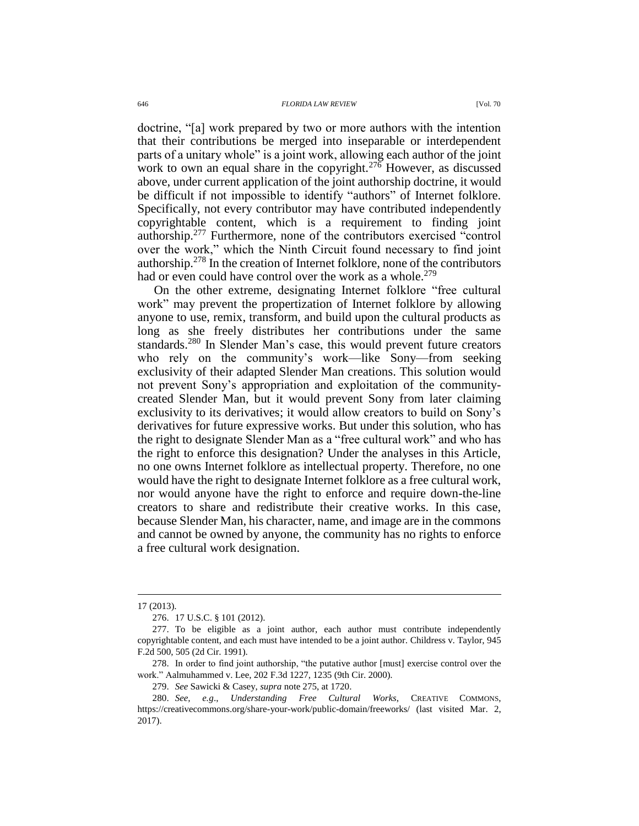doctrine, "[a] work prepared by two or more authors with the intention that their contributions be merged into inseparable or interdependent parts of a unitary whole" is a joint work, allowing each author of the joint work to own an equal share in the copyright.<sup>276</sup> However, as discussed above, under current application of the joint authorship doctrine, it would be difficult if not impossible to identify "authors" of Internet folklore. Specifically, not every contributor may have contributed independently copyrightable content, which is a requirement to finding joint authorship.<sup>277</sup> Furthermore, none of the contributors exercised "control over the work," which the Ninth Circuit found necessary to find joint authorship.<sup>278</sup> In the creation of Internet folklore, none of the contributors had or even could have control over the work as a whole.<sup>279</sup>

On the other extreme, designating Internet folklore "free cultural work" may prevent the propertization of Internet folklore by allowing anyone to use, remix, transform, and build upon the cultural products as long as she freely distributes her contributions under the same standards.<sup>280</sup> In Slender Man's case, this would prevent future creators who rely on the community's work—like Sony—from seeking exclusivity of their adapted Slender Man creations. This solution would not prevent Sony's appropriation and exploitation of the communitycreated Slender Man, but it would prevent Sony from later claiming exclusivity to its derivatives; it would allow creators to build on Sony's derivatives for future expressive works. But under this solution, who has the right to designate Slender Man as a "free cultural work" and who has the right to enforce this designation? Under the analyses in this Article, no one owns Internet folklore as intellectual property. Therefore, no one would have the right to designate Internet folklore as a free cultural work, nor would anyone have the right to enforce and require down-the-line creators to share and redistribute their creative works. In this case, because Slender Man, his character, name, and image are in the commons and cannot be owned by anyone, the community has no rights to enforce a free cultural work designation.

<sup>17 (2013).</sup>

<sup>276.</sup> 17 U.S.C. § 101 (2012).

<sup>277.</sup> To be eligible as a joint author, each author must contribute independently copyrightable content, and each must have intended to be a joint author. Childress v. Taylor, 945 F.2d 500, 505 (2d Cir. 1991).

<sup>278.</sup> In order to find joint authorship, "the putative author [must] exercise control over the work." Aalmuhammed v. Lee, 202 F.3d 1227, 1235 (9th Cir. 2000).

<sup>279.</sup> *See* Sawicki & Casey, *supra* note [275,](#page-44-0) at 1720.

<sup>280.</sup> *See, e.g*., *Understanding Free Cultural Works*, CREATIVE COMMONS, https://creativecommons.org/share-your-work/public-domain/freeworks/ (last visited Mar. 2, 2017).